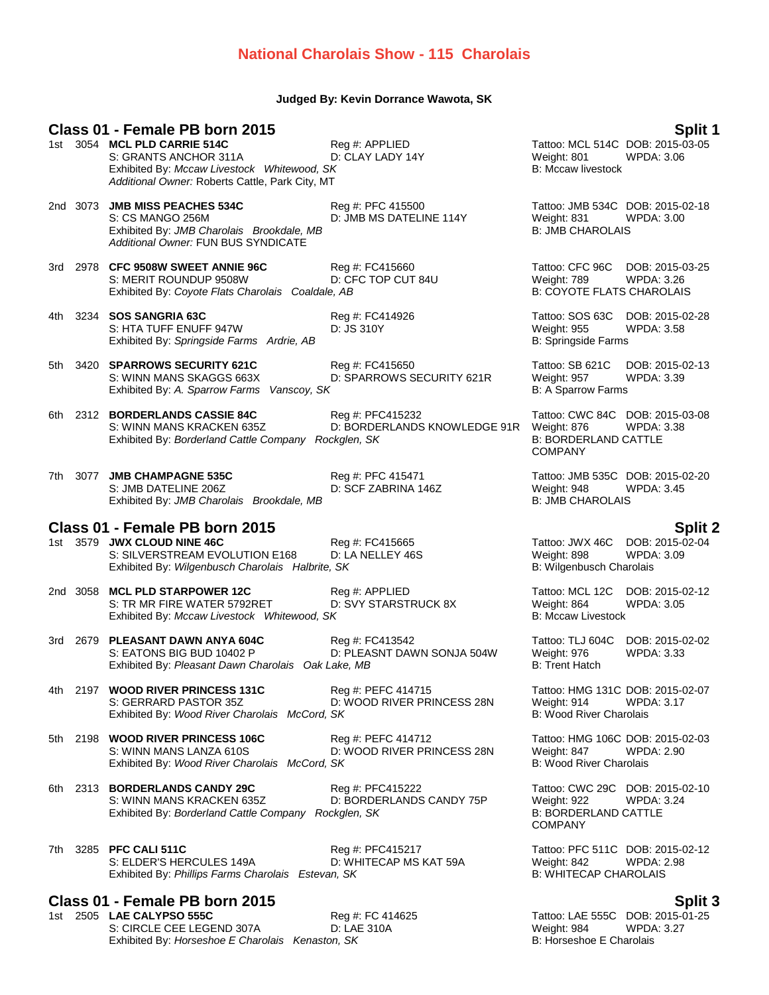## **National Charolais Show - 115 Charolais**

### **Judged By: Kevin Dorrance Wawota, SK**

**Class 01 - Female PB born 2015**<br>1st 3054 MCL PLD CARRIE 514C **Split 1** Reg #: APPLIED **Split 1** Tattoo: MCL 514C DOB: 2015-03-05 S: GRANTS ANCHOR 311A D: CLAY LADY 14Y Weight: 801 WPDA: 3.06 Exhibited By: *Mccaw Livestock Whitewood, SK* B: Mccaw livestock B: Mccaw livestock *Additional Owner:* Roberts Cattle, Park City, MT 2nd 3073 **JMB MISS PEACHES 534C** Reg #: PFC 415500 Tattoo: JMB 534C DOB: 2015-02-18 S: CS MANGO 256M D: JMB MS DATELINE 114Y Weight: 831 WPDA: 3.00 Exhibited By: *JMB Charolais Brookdale, MB* B: JMB CHAROLAIS *Additional Owner:* FUN BUS SYNDICATE 3rd 2978 **CFC 9508W SWEET ANNIE 96C** Reg #: FC415660 Tattoo: CFC 96C DOB: 2015-03-25 S: MERIT ROUNDUP 9508W D: CFC TOP CUT 84U Weight: 789 WPDA: 3.26 Exhibited By: *Coyote Flats Charolais Coaldale, AB* B: COYOTE FLATS CHAROLAIS 4th 3234 **SOS SANGRIA 63C** Reg #: FC414926 Tattoo: SOS 63C DOB: 2015-02-28 S: HTA TUFF ENUFF 947W D: JS 310Y Weight: 955 WPDA: 3.58 Exhibited By: *Springside Farms Ardrie, AB* B: Springside Farms Ardrie, AB 5th 3420 **SPARROWS SECURITY 621C** Reg #: FC415650 Tattoo: SB 621C DOB: 2015-02-13

- Exhibited By: *A. Sparrow Farms Vanscoy, SK* B: A Sparrow Farms Vanscover SK B: A Sparrow Farms 6th 2312 **BORDERLANDS CASSIE 84C** Reg #: PFC415232 Tattoo: CWC 84C DOB: 2015-03-08 S: WINN MANS KRACKEN 635Z D: BORDERLANDS KNOWLEDGE 91R Weight: 876 WPDA: 3.38<br>Exhibited By: Borderland Cattle Company Rockglen. SK B: BORDERLAND CATTLE Exhibited By: *Borderland Cattle Company Rockglen, SK*
- 7th 3077 **JMB CHAMPAGNE 535C** Reg #: PFC 415471 Tattoo: JMB 535C DOB: 2015-02-20 S: JMB DATELINE 206Z D: SCF ZABRINA 146Z Weight: 948 WPDA: 3.45 Exhibited By: *JMB Charolais Brookdale, MB* B: JMB CHAROLAIS

### **Class 01 - Female PB born 2015 Split 2**

1st 3579 **JWX CLOUD NINE 46C** Reg #: FC415665 Tattoo: JWX 46C DOB: 2015-02-04<br>S: SILVERSTREAM EVOLUTION E168 D: LA NELLEY 46S Weight: 898 WPDA: 3.09 S: SILVERSTREAM EVOLUTION E168 D: LA NELLEY 46S Weight: 898 WPDA:<br>
Exhibited By: Wilgenbusch Charolais Halbrite, SK B: Wilgenbusch Charolais Exhibited By: Wilgenbusch Charolais Halbrite, SK

2nd 3058 **MCL PLD STARPOWER 12C** Reg #: APPLIED Tattoo: MCL 12C DOB: 2015-02-12 S: TR MR FIRE WATER 5792RET D: SVY STARSTRUCK 8X Weight: 864 WPDA: 3.05 Exhibited By: *Mccaw Livestock Whitewood, SK* B: Mccaw Livestock By: Mccaw Livestock

3rd 2679 **PLEASANT DAWN ANYA 604C** Reg #: FC413542 Tattoo: TLJ 604C DOB: 2015-02-02 S: EATONS BIG BUD 10402 P D: PLEASNT DAWN SONJA 504W Weight: 976 WPDA: 3.33 Exhibited By: *Pleasant Dawn Charolais Oak Lake, MB* B: Trent Hatch B: Trent Hatch

4th 2197 **WOOD RIVER PRINCESS 131C** Reg #: PEFC 414715 Tattoo: HMG 131C DOB: 2015-02-07 S: GERRARD PASTOR 35Z D: WOOD RIVER PRINCESS 28N Weight: 914 WPDA: 3.17<br>Exhibited By: Wood River Charolais McCord. SK B: Wood River Charolais Exhibited By: Wood River Charolais McCord, SK

5th 2198 **WOOD RIVER PRINCESS 106C** Reg #: PEFC 414712 Tattoo: HMG 106C DOB: 2015-02-03 Exhibited By: Wood River Charolais McCord, SK

S: WINN MANS LANZA 610S D: WOOD RIVER PRINCESS 28N Weight: 847 WPDA: 2.90<br>Exhibited By: Wood River Charolais McCord. SK B: Wood River Charolais

6th 2313 **BORDERLANDS CANDY 29C** Reg #: PFC415222 Tattoo: CWC 29C DOB: 2015-02-10 S: WINN MANS KRACKEN 635Z D: BORDERLANDS CANDY 75P Weight: 922 WPDA: 3.24 Exhibited By: *Borderland Cattle Company Rockglen, SK* B: BORDERLAND CATTLE

7th 3285 **PFC CALI 511C** Reg #: PFC415217 Tattoo: PFC 511C DOB: 2015-02-12 S: ELDER'S HERCULES 149A D: WHITECAP MS KAT 59A Weight: 842 WPDA: 2.98 Exhibited By: *Phillips Farms Charolais Estevan, SK* B: WHITECAP CHAROLAIS

**Class 01 - Female PB born 2015 Split 3** S: CIRCLE CEE LEGEND 307A D: LAE 310A Weight: 984 WPDA: 3.27 Exhibited By: *Horseshoe E Charolais Kenaston, SK* B: *Horseshoe E Charolais* 

Tattoo: MCL 514C DOB: 2015-03-05

S: WINN MANS SKAGGS 663X D: SPARROWS SECURITY 621R Weight: 957 WPDA: 3.39

COMPANY

**COMPANY** 

1st 2505 **LAE CALYPSO 555C** Reg #: FC 414625 Tattoo: LAE 555C DOB: 2015-01-25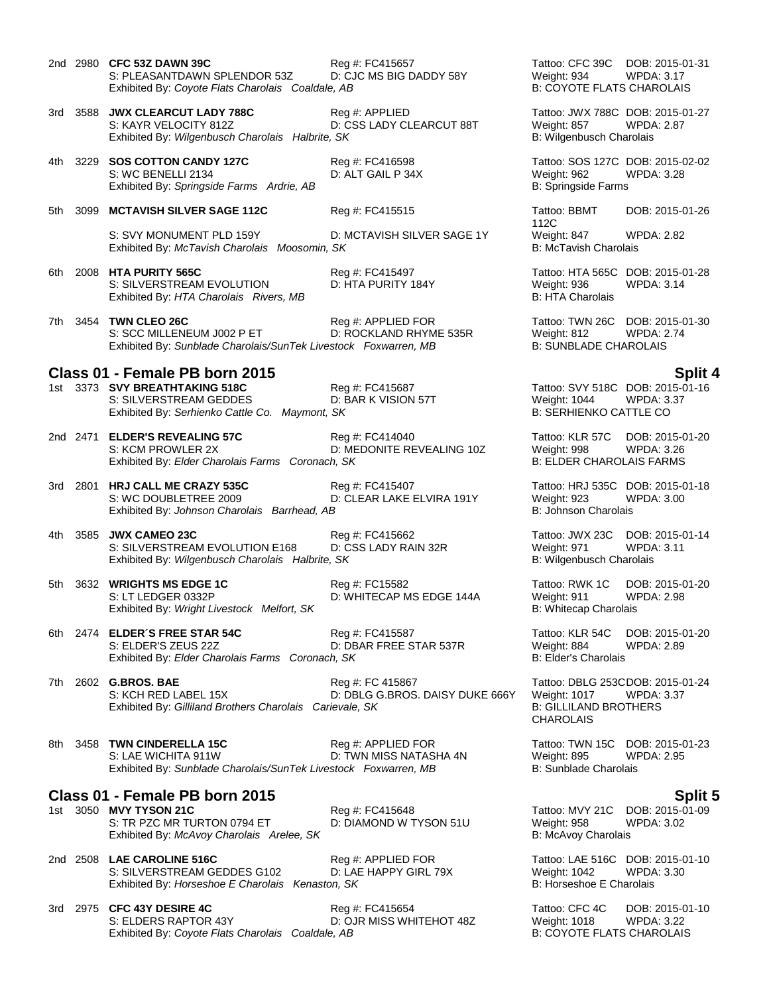- 2nd 2980 **CFC 53Z DAWN 39C** Reg #: FC415657 Tattoo: CFC 39C DOB: 2015-01-31 S: PLEASANTDAWN SPLENDOR 53Z D: CJC MS BIG DADDY 58Y Weight: 934 WPDA: 3.17<br>Exhibited By: Coyote Flats Charolais Coaldale. AB B: COYOTE FLATS CHAROLAIS Exhibited By: Coyote Flats Charolais Coaldale, AB 3rd 3588 **JWX CLEARCUT LADY 788C** Reg #: APPLIED Tattoo: JWX 788C DOB: 2015-01-27 S: KAYR VELOCITY 812Z **D: CSS LADY CLEARCUT 88T** Weight: 857 WPDA: 2.87 Exhibited By: Wilgenbusch Charolais Halbrite, SK B: Wilgenbusch Charolais 4th 3229 **SOS COTTON CANDY 127C** Reg #: FC416598 Tattoo: SOS 127C DOB: 2015-02-02 S: WC BENELLI 2134 D: ALT GAIL P 34X Weight: 962 WPDA: 3.28 Exhibited By: Springside Farms Ardrie, AB B: Springside Farms Ardrie, AB 5th 3099 MCTAVISH SILVER SAGE 112C Reg #: FC415515 Tattoo: BBMT S: SVY MONUMENT PLD 159Y D: MCTAVISH SILVER SAGE 1Y Weight: 847 WPDA: 2.82 Exhibited By: *McTavish Charolais Moosomin, SK* B: McTavish Charolais *B*: McTavish Charolais 6th 2008 **HTA PURITY 565C** Reg #: FC415497 Tattoo: HTA 565C DOB: 2015-01-28 S: SILVERSTREAM EVOLUTION D: HTA PURITY 184Y Weight: 936 WPDA: 3.14<br>
Exhibited By: HTA Charolais Rivers, MB B: HTA Charolais Exhibited By: HTA Charolais Rivers, MB 7th 3454 **TWN CLEO 26C** Reg #: APPLIED FOR Tattoo: TWN 26C DOB: 2015-01-30 S: SCC MILLENEUM J002 P ET 
D: ROCKLAND RHYME 535R
Weight: 812 WPDA: 2.74
B: SUNBLADE CHAROLAIS
D: SUNBLADE CHAROLAIS

D: SUNBLADE CHAROLAIS

D: SUNBLADE CHAROLAIS

D: SUNBLADE CHAROLAIS

D: SUNBLADE CHAROLAIS

D: SUNBLAD Exhibited By: Sunblade Charolais/SunTek Livestock Foxwarren, MB **Class 01 - Female PB born 2015 Split 4** 1st 3373 **SVY BREATHTAKING 518C** Reg #: FC415687 Tattoo: SVY 518C DOB: 2015-01-16 S: SILVERSTREAM GEDDES **D: BAR K VISION 57T** Weight: 1044 WPDA: 3.37<br>Exhibited By: Serhienko Cattle Co. Maymont, SK B: SERHIENKO CATTLE CO Exhibited By: Serhienko Cattle Co. Maymont, SK 2nd 2471 **ELDER'S REVEALING 57C** Reg #: FC414040 Tattoo: KLR 57C DOB: 2015-01-20 S: KCM PROWLER 2X D: MEDONITE REVEALING 10Z Weight: 998 WPDA: 3.26<br>Exhibited By: Elder Charolais Farms Coronach, SK B: ELDER CHAROLAIS FARMS Exhibited By: Elder Charolais Farms Coronach, SK 3rd 2801 **HRJ CALL ME CRAZY 535C** Reg #: FC415407 Tattoo: HRJ 535C DOB: 2015-01-18 D: CLEAR LAKE ELVIRA 191Y Weight: 923 W<br>B: Johnson Charolais Exhibited By: Johnson Charolais Barrhead, AB 4th 3585 **JWX CAMEO 23C** Reg #: FC415662 Tattoo: JWX 23C DOB: 2015-01-14 S: SILVERSTREAM EVOLUTION E168 D: CSS LADY RAIN 32R Weight: 971 WPDA: 3.11 Exhibited By: *Wilgenbusch Charolais Halbrite, SK* B: Wilgenbusch Charolais Halbrite, SK 5th 3632 **WRIGHTS MS EDGE 1C** Reg #: FC15582 Tattoo: RWK 1C DOB: 2015-01-20 S: LT LEDGER 0332P D: WHITECAP MS EDGE 144A Weight: 911 WPDA: 2.98 Exhibited By: *Wright Livestock Melfort, SK* B: Whitecap Charolais 6th 2474 **ELDER´S FREE STAR 54C** Reg #: FC415587 Tattoo: KLR 54C DOB: 2015-01-20 S: ELDER'S ZEUS 22Z D: DBAR FREE STAR 537R Weight: 884 Weight: 884<br>Exhibited By: *Elder Charolais Farms Coronach, SK* B: Elder's Charolais Exhibited By: Elder Charolais Farms Coronach, SK 7th 2602 **G.BROS. BAE** Reg #: FC 415867 Tattoo: DBLG 253CDOB: 2015-01-24 S: KCH RED LABEL 15X DE DBLG G.BROS. DAISY DUKE 666Y Weight: 1017 WPDA: 3.37<br>Exhibited By: Gilliland Brothers Charolais Carievale. SK B: GILLILAND BROTHERS Exhibited By: Gilliland Brothers Charolais Carievale, SK 8th 3458 **TWN CINDERELLA 15C** Reg #: APPLIED FOR Tattoo: TWN 15C DOB: 2015-01-23
	- S: LAE WICHITA 911W D: TWN MISS NATASHA 4N Weight: 895 WPDA: 2.95 Exhibited By: Sunblade Charolais/SunTek Livestock Foxwarren, MB B: Sunblade Charolais
- **Class 01 Female PB born 2015**<br>1st 3050 MVY TYSON 21C **Split 5** Reg #: FC415648 **Split 5** Tattoo: MVY 21C DOB: 2015-01-09
- 1st 3050 **MVY TYSON 21C** Reg #: FC415648 Tattoo: MVY 21C DOB: 2015-0<br>S: TR PZC MR TURTON 0794 ET D: DIAMOND W TYSON 51U Weight: 958 WPDA: 3.02 S: TR PZC MR TURTON 0794 ET D: DIAMOND W TYSON 51U Weight: 958 Exhibited By: *McAvoy Charolais Arelee, SK* B: McAvoy Charolais Arelee, SK
- 2nd 2508 **LAE CAROLINE 516C** Reg #: APPLIED FOR Tattoo: LAE 516C DOB: 2015-01-10 S: SILVERSTREAM GEDDES G102 D: LAE HAPPY GIRL 79X Weight: 1042 WPDA: 3.30<br>
Exhibited By: Horseshoe E Charolais Kenaston, SK B: Horseshoe E Charolais Exhibited By: *Horseshoe E Charolais Kenaston, SK*

### 3rd 2975 **CFC 43Y DESIRE 4C** Reg #: FC415654 Tattoo: CFC 4C DOB: 2015-01-10 S: ELDERS RAPTOR 43Y D: OJR MISS WHITEHOT 48Z Weight: 1018 WPDA: 3.22 Exhibited By: *Coyote Flats Charolais Coaldale, AB* B: COYOTE FLATS CHAROLAIS

112C DOB: 2015-01-26

CHAROLAIS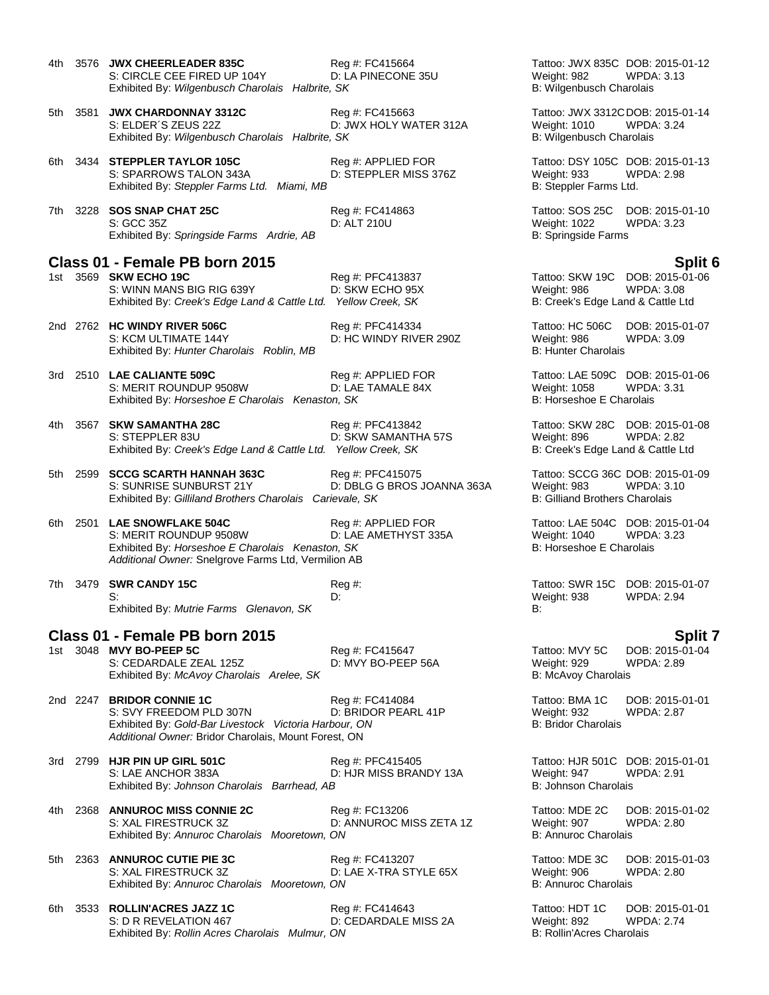| 4th. | 3576 JWX CHEERLEADER 835C<br>S: CIRCLE CEE FIRED UP 104Y<br>Exhibited By: Wilgenbusch Charolais Halbrite, SK                                                          | Reg #: FC415664<br>D: LA PINECONE 35U          | Weight: 982<br>B: Wilgenbusch Charolais                                                  | Tattoo: JWX 835C DOB: 2015-01-12<br>WPDA: 3.13        |
|------|-----------------------------------------------------------------------------------------------------------------------------------------------------------------------|------------------------------------------------|------------------------------------------------------------------------------------------|-------------------------------------------------------|
| 5th  | 3581 JWX CHARDONNAY 3312C<br>S: ELDER'S ZEUS 22Z<br>Exhibited By: Wilgenbusch Charolais Halbrite, SK                                                                  | Reg #: FC415663<br>D: JWX HOLY WATER 312A      | Weight: 1010<br>B: Wilgenbusch Charolais                                                 | Tattoo: JWX 3312CDOB: 2015-01-14<br><b>WPDA: 3.24</b> |
|      | 6th 3434 STEPPLER TAYLOR 105C<br>S: SPARROWS TALON 343A<br>Exhibited By: Steppler Farms Ltd. Miami, MB                                                                | Reg #: APPLIED FOR<br>D: STEPPLER MISS 376Z    | Weight: 933<br>B: Steppler Farms Ltd.                                                    | Tattoo: DSY 105C DOB: 2015-01-13<br><b>WPDA: 2.98</b> |
| 7th  | 3228 SOS SNAP CHAT 25C<br>S: GCC 35Z<br>Exhibited By: Springside Farms Ardrie, AB                                                                                     | Reg #: FC414863<br>D: ALT 210U                 | Tattoo: SOS 25C<br>Weight: 1022<br>B: Springside Farms                                   | DOB: 2015-01-10<br><b>WPDA: 3.23</b>                  |
|      | Class 01 - Female PB born 2015                                                                                                                                        |                                                |                                                                                          | Split 6                                               |
|      | 1st 3569 SKW ECHO 19C<br>S: WINN MANS BIG RIG 639Y<br>Exhibited By: Creek's Edge Land & Cattle Ltd. Yellow Creek, SK                                                  | Reg #: PFC413837<br>D: SKW ECHO 95X            | Tattoo: SKW 19C DOB: 2015-01-06<br>Weight: 986<br>B: Creek's Edge Land & Cattle Ltd      | <b>WPDA: 3.08</b>                                     |
|      | 2nd 2762 HC WINDY RIVER 506C<br>S: KCM ULTIMATE 144Y<br>Exhibited By: Hunter Charolais Roblin, MB                                                                     | Reg #: PFC414334<br>D: HC WINDY RIVER 290Z     | Tattoo: HC 506C<br>Weight: 986<br><b>B: Hunter Charolais</b>                             | DOB: 2015-01-07<br>WPDA: 3.09                         |
|      | 3rd 2510 LAE CALIANTE 509C<br>S: MERIT ROUNDUP 9508W<br>Exhibited By: Horseshoe E Charolais Kenaston, SK                                                              | Reg #: APPLIED FOR<br>D: LAE TAMALE 84X        | Tattoo: LAE 509C DOB: 2015-01-06<br>Weight: 1058<br>B: Horseshoe E Charolais             | <b>WPDA: 3.31</b>                                     |
| 4th. | 3567 SKW SAMANTHA 28C<br>S: STEPPLER 83U<br>Exhibited By: Creek's Edge Land & Cattle Ltd. Yellow Creek, SK                                                            | Reg #: PFC413842<br>D: SKW SAMANTHA 57S        | Weight: 896<br>B: Creek's Edge Land & Cattle Ltd                                         | Tattoo: SKW 28C DOB: 2015-01-08<br><b>WPDA: 2.82</b>  |
| 5th  | 2599 SCCG SCARTH HANNAH 363C<br>S: SUNRISE SUNBURST 21Y<br>Exhibited By: Gilliland Brothers Charolais Carievale, SK                                                   | Reg #: PFC415075<br>D: DBLG G BROS JOANNA 363A | Tattoo: SCCG 36C DOB: 2015-01-09<br>Weight: 983<br><b>B: Gilliand Brothers Charolais</b> | WPDA: 3.10                                            |
| 6th. | 2501 LAE SNOWFLAKE 504C<br>S: MERIT ROUNDUP 9508W<br>Exhibited By: Horseshoe E Charolais Kenaston, SK<br>Additional Owner: Snelgrove Farms Ltd, Vermilion AB          | Reg #: APPLIED FOR<br>D: LAE AMETHYST 335A     | Weight: 1040<br>B: Horseshoe E Charolais                                                 | Tattoo: LAE 504C DOB: 2015-01-04<br>WPDA: 3.23        |
|      | 7th 3479 SWR CANDY 15C<br>S:<br>Exhibited By: Mutrie Farms Glenavon, SK                                                                                               | Reg#<br>D:                                     | Weight: 938<br>B:                                                                        | Tattoo: SWR 15C DOB: 2015-01-07<br><b>WPDA: 2.94</b>  |
|      | Class 01 - Female PB born 2015                                                                                                                                        |                                                |                                                                                          | Split 7                                               |
|      | 1st 3048 MVY BO-PEEP 5C<br>S: CEDARDALE ZEAL 125Z<br>Exhibited By: McAvoy Charolais Arelee, SK                                                                        | Reg #: FC415647<br>D: MVY BO-PEEP 56A          | Tattoo: MVY 5C<br>Weight: 929<br>B: McAvoy Charolais                                     | DOB: 2015-01-04<br><b>WPDA: 2.89</b>                  |
|      | 2nd 2247 BRIDOR CONNIE 1C<br>S: SVY FREEDOM PLD 307N<br>Exhibited By: Gold-Bar Livestock Victoria Harbour, ON<br>Additional Owner: Bridor Charolais, Mount Forest, ON | Reg #: FC414084<br>D: BRIDOR PEARL 41P         | Tattoo: BMA 1C<br>Weight: 932<br><b>B: Bridor Charolais</b>                              | DOB: 2015-01-01<br><b>WPDA: 2.87</b>                  |
|      | 3rd 2799 HJR PIN UP GIRL 501C<br>S: LAE ANCHOR 383A<br>Exhibited By: Johnson Charolais Barrhead, AB                                                                   | Reg #: PFC415405<br>D: HJR MISS BRANDY 13A     | Tattoo: HJR 501C DOB: 2015-01-01<br>Weight: 947<br>B: Johnson Charolais                  | <b>WPDA: 2.91</b>                                     |
| 4th. | 2368 ANNUROC MISS CONNIE 2C<br>S: XAL FIRESTRUCK 3Z<br>Exhibited By: Annuroc Charolais Mooretown, ON                                                                  | Reg #: FC13206<br>D: ANNUROC MISS ZETA 1Z      | Tattoo: MDE 2C<br>Weight: 907<br>B: Annuroc Charolais                                    | DOB: 2015-01-02<br><b>WPDA: 2.80</b>                  |
| 5th  | 2363 ANNUROC CUTIE PIE 3C<br>S: XAL FIRESTRUCK 3Z<br>Exhibited By: Annuroc Charolais Mooretown, ON                                                                    | Reg #: FC413207<br>D: LAE X-TRA STYLE 65X      | Tattoo: MDE 3C<br>Weight: 906<br>B: Annuroc Charolais                                    | DOB: 2015-01-03<br><b>WPDA: 2.80</b>                  |
| 6th. | 3533 ROLLIN'ACRES JAZZ 1C<br>S: D R REVELATION 467                                                                                                                    | Reg #: FC414643<br>D: CEDARDALE MISS 2A        | Tattoo: HDT 1C<br>Weight: 892                                                            | DOB: 2015-01-01<br><b>WPDA: 2.74</b>                  |

Tattoo: HDT 1C DOB: 2015-01-01 Exhibited By: *Rollin Acres Charolais Mulmur, ON* B: Rollin'Acres Charolais Mulmur, ON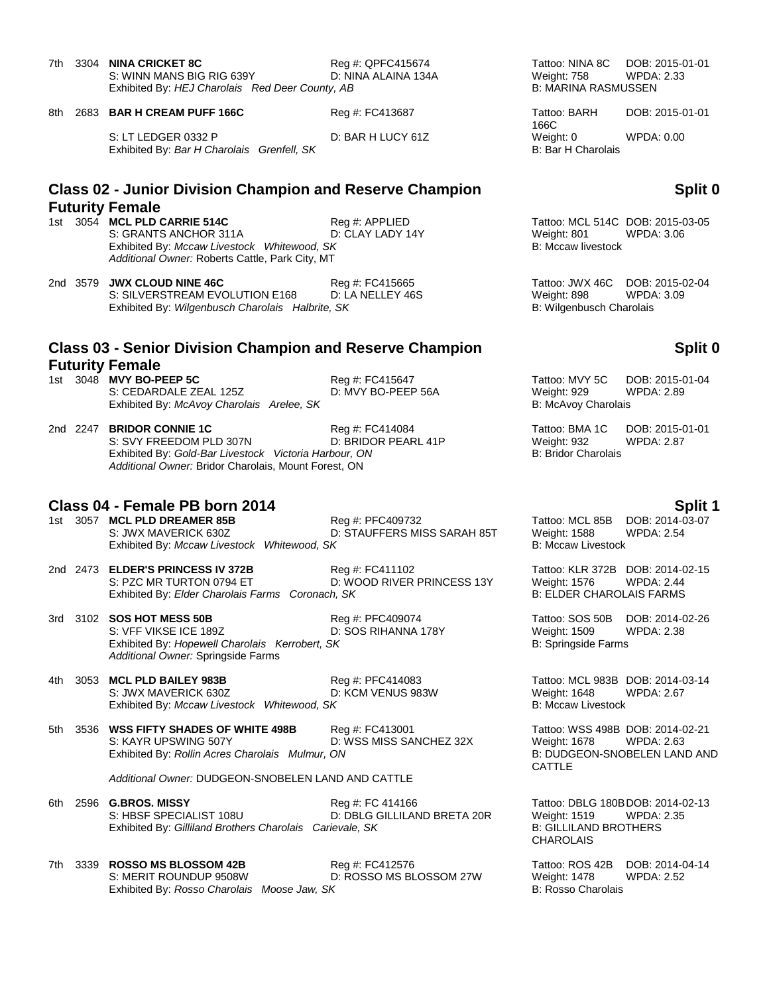| 7th. | 3304 | NINA CRICKET 8C<br>S: WINN MANS BIG RIG 639Y<br>Exhibited By: HEJ Charolais Red Deer County, AB | Reg #: QPFC415674<br>D: NINA ALAINA 134A | Tattoo: NINA 8C DOB: 2015-01-01<br>Weight: 758<br><b>B: MARINA RASMUSSEN</b> | WPDA: 2.33                                     |
|------|------|-------------------------------------------------------------------------------------------------|------------------------------------------|------------------------------------------------------------------------------|------------------------------------------------|
| 8th  |      | 2683 BAR H CREAM PUFF 166C                                                                      | Reg #: FC413687                          | Tattoo: BARH<br>166C                                                         | DOB: 2015-01-01                                |
|      |      | S: LT LEDGER 0332 P<br>Exhibited By: Bar H Charolais Grenfell, SK                               | D: BAR H LUCY 61Z                        | Weight: 0<br><b>B: Bar H Charolais</b>                                       | WPDA: 0.00                                     |
|      |      | <b>Class 02 - Junior Division Champion and Reserve Champion</b><br><b>Futurity Female</b>       |                                          |                                                                              | <b>Split</b>                                   |
|      |      | 1st 3054 MCL PLD CARRIE 514C<br>S: GRANTS ANCHOR 311A                                           | Reg #: APPLIED<br>D: CLAY LADY 14Y       | Weight: 801                                                                  | Tattoo: MCL 514C DOB: 2015-03-05<br>WPDA: 3.06 |

2nd 3579 **JWX CLOUD NINE 46C** Reg #: FC415665 Tattoo: JWX 46C DOB: 2015-02-04 S: SILVERSTREAM EVOLUTION E168 D: LA NELLEY 46S Weight: 898 WPDA: 3.09 Exhibited By: *Wilgenbusch Charolais Halbrite, SK* B: Wilgenbusch Charolais **B**: Wilgenbusch Charolais

*Additional Owner:* Roberts Cattle, Park City, MT

### **Class 03 - Senior Division Champion and Reserve Champion Futurity Female**

1st 3048 **MVY BO-PEEP 5C** Reg #: FC415647<br>S: CEDARDALE ZEAL 125Z D: MVY BO-PEEP 56A S: CEDARDALE ZEAL 125Z Exhibited By: McAvoy Charolais Arelee, SK

2nd 2247 **BRIDOR CONNIE 1C** Reg #: FC414084 Reg #: FC414084 Tattoo: BMA 1C DOB: 2015-01-01<br>S: SVY FREEDOM PLD 307N D: BRIDOR PEARL 41P Weight: 932 WPDA: 2.87 S: SVY FREEDOM PLD 307N Exhibited By: Gold-Bar Livestock Victoria Harbour, ON B: Bridor Charolais *Additional Owner:* Bridor Charolais, Mount Forest, ON

### **Class 04 - Female PB born 2014 Split 1 Split 1 Split 1 Split 1 Split 1 Split 1**

1st 3057 **MCL PLD DREAMER 85B** Reg #: PFC409732 Tattoo: MCL 85B DOB: 2014-03-07 S: JWX MAVERICK 630Z D: STAUFFERS MISS SARAH 85T Weight: 1588 WPDA: 2.54<br>Exhibited By: Mccaw Livestock Whitewood, SK B: Mccaw Livestock B: Mccaw Livestock Exhibited By: Mccaw Livestock Whitewood, SK

2nd 2473 **ELDER'S PRINCESS IV 372B** Reg #: FC411102 Tattoo: KLR 372B DOB: 2014-02-15 S: PZC MR TURTON 0794 ET **D: WOOD RIVER PRINCESS 13Y** Weight: 1576 WPDA: 2.44<br>Exhibited By: Elder Charolais Farms Coronach, SK B: ELDER CHAROLAIS FARMS Exhibited By: *Elder Charolais Farms Coronach, SK* 

3rd 3102 **SOS HOT MESS 50B** Reg #: PFC409074 **Reg 2014-02-26**<br>S: VFF VIKSE ICE 189Z D: SOS RIHANNA 178Y Weight: 1509 WPDA: 2.38 D: SOS RIHANNA 178Y Weight: 1509 V<br>SK B: Springside Farms Exhibited By: *Hopewell Charolais Kerrobert, SK Additional Owner:* Springside Farms

4th 3053 **MCL PLD BAILEY 983B** Reg #: PFC414083 Tattoo: MCL 983B DOB: 2014-03-14 S: JWX MAVERICK 630Z D: KCM VENUS 983W Weight: 1648 WPDA: 2.67<br>
Exhibited By: *Mccaw Livestock Whitewood. SK* B: Mccaw Livestock B: Mccaw Livestock Exhibited By: Mccaw Livestock Whitewood, SK

5th 3536 **WSS FIFTY SHADES OF WHITE 498B** Reg #: FC413001 Tattoo: WSS 498B DOB: 2014-02-21<br>S: KAYR UPSWING 507Y D: WSS MISS SANCHEZ 32X Weight: 1678 WPDA: 2.63 Exhibited By: *Rollin Acres Charolais Mulmur, ON* 

*Additional Owner:* DUDGEON-SNOBELEN LAND AND CATTLE

6th 2596 **G.BROS. MISSY** Reg #: FC 414166 Tattoo: DBLG 180BDOB: 2014-02-13 S: HBSF SPECIALIST 108U D: DBLG GILLILAND BRETA 20R Weight: 1519 WPDA: 2.35 Exhibited By: *Gilliland Brothers Charolais Carievale, SK* B: GILLILAND BROTHERS

7th 3339 **ROSSO MS BLOSSOM 42B** Reg #: FC412576 Tattoo: ROS 42B DOB: 2014-04-14<br>S: MERIT ROUNDUP 9508W D: ROSSO MS BLOSSOM 27W Weight: 1478 WPDA: 2.52 D: ROSSO MS BLOSSOM 27W Weight: 1478 Exhibited By: *Rosso Charolais Moose Jaw, SK* B: Rosso Charolais B: Rosso Charolais

### **Split 0**

Tattoo: MCL 514C DOB: 2015-03-05<br>Weight: 801 WPDA: 3.06 WPDA: 3.06 Exhibited By: *Mccaw Livestock Whitewood, SK* B: Mccaw livestock B: Mccaw livestock

### **Split 0**

| Tattoo: MVY 5C      | DOB: 2015-01-04   |
|---------------------|-------------------|
| Weight: 929         | <b>WPDA: 2.89</b> |
| B: McAvoy Charolais |                   |

D: WSS MISS SANCHEZ 32X Weight: 1678 WPDA: 2.63<br>ON B: DUDGEON-SNOBELEN LAND AND CATTLE

CHAROLAIS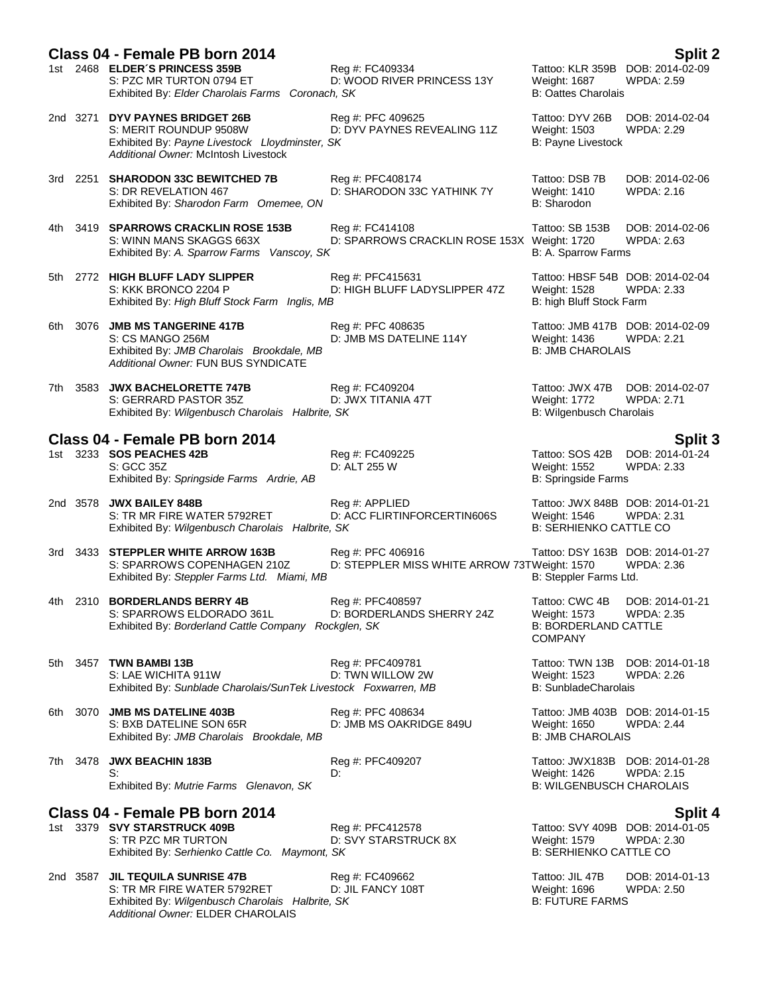|      | Class 04 - Female PB born 2014                                                                                                                           |                                                                   |                                                                                       | Split 2                              |
|------|----------------------------------------------------------------------------------------------------------------------------------------------------------|-------------------------------------------------------------------|---------------------------------------------------------------------------------------|--------------------------------------|
|      | 1st 2468 ELDER'S PRINCESS 359B<br>S: PZC MR TURTON 0794 ET<br>Exhibited By: Elder Charolais Farms Coronach, SK                                           | Reg #: FC409334<br>D: WOOD RIVER PRINCESS 13Y                     | Tattoo: KLR 359B DOB: 2014-02-09<br>Weight: 1687<br><b>B: Oattes Charolais</b>        | <b>WPDA: 2.59</b>                    |
|      | 2nd 3271 DYV PAYNES BRIDGET 26B<br>S: MERIT ROUNDUP 9508W<br>Exhibited By: Payne Livestock Lloydminster, SK<br>Additional Owner: McIntosh Livestock      | Reg #: PFC 409625<br>D: DYV PAYNES REVEALING 11Z                  | Tattoo: DYV 26B<br><b>Weight: 1503</b><br>B: Payne Livestock                          | DOB: 2014-02-04<br>WPDA: 2.29        |
|      | 3rd 2251 SHARODON 33C BEWITCHED 7B<br>S: DR REVELATION 467<br>Exhibited By: Sharodon Farm Omemee, ON                                                     | Reg #: PFC408174<br>D: SHARODON 33C YATHINK 7Y                    | Tattoo: DSB 7B<br><b>Weight: 1410</b><br>B: Sharodon                                  | DOB: 2014-02-06<br>WPDA: 2.16        |
| 4th. | 3419 SPARROWS CRACKLIN ROSE 153B<br>S: WINN MANS SKAGGS 663X<br>Exhibited By: A. Sparrow Farms Vanscoy, SK                                               | Reg #: FC414108<br>D: SPARROWS CRACKLIN ROSE 153X Weight: 1720    | Tattoo: SB 153B<br>B: A. Sparrow Farms                                                | DOB: 2014-02-06<br>WPDA: 2.63        |
| 5th  | 2772 HIGH BLUFF LADY SLIPPER<br>S: KKK BRONCO 2204 P<br>Exhibited By: High Bluff Stock Farm Inglis, MB                                                   | Reg #: PFC415631<br>D: HIGH BLUFF LADYSLIPPER 47Z                 | Tattoo: HBSF 54B DOB: 2014-02-04<br>Weight: 1528<br>B: high Bluff Stock Farm          | <b>WPDA: 2.33</b>                    |
| 6th  | 3076 JMB MS TANGERINE 417B<br>S: CS MANGO 256M<br>Exhibited By: JMB Charolais Brookdale, MB<br>Additional Owner: FUN BUS SYNDICATE                       | Reg #: PFC 408635<br>D: JMB MS DATELINE 114Y                      | Tattoo: JMB 417B DOB: 2014-02-09<br>Weight: 1436<br><b>B: JMB CHAROLAIS</b>           | <b>WPDA: 2.21</b>                    |
| 7th. | 3583 JWX BACHELORETTE 747B<br>S: GERRARD PASTOR 35Z<br>Exhibited By: Wilgenbusch Charolais Halbrite, SK                                                  | Reg #: FC409204<br>D: JWX TITANIA 47T                             | Tattoo: JWX 47B<br><b>Weight: 1772</b><br>B: Wilgenbusch Charolais                    | DOB: 2014-02-07<br><b>WPDA: 2.71</b> |
|      | Class 04 - Female PB born 2014                                                                                                                           |                                                                   |                                                                                       | <b>Split 3</b>                       |
|      | 1st 3233 SOS PEACHES 42B<br>S: GCC 35Z<br>Exhibited By: Springside Farms Ardrie, AB                                                                      | Reg #: FC409225<br>D: ALT 255 W                                   | Tattoo: SOS 42B<br>Weight: 1552<br><b>B: Springside Farms</b>                         | DOB: 2014-01-24<br><b>WPDA: 2.33</b> |
|      | 2nd 3578 JWX BAILEY 848B<br>S: TR MR FIRE WATER 5792RET<br>Exhibited By: Wilgenbusch Charolais Halbrite, SK                                              | Reg #: APPLIED<br>D: ACC FLIRTINFORCERTIN606S                     | Tattoo: JWX 848B DOB: 2014-01-21<br>Weight: 1546<br><b>B: SERHIENKO CATTLE CO</b>     | <b>WPDA: 2.31</b>                    |
|      | 3rd 3433 STEPPLER WHITE ARROW 163B<br>S: SPARROWS COPENHAGEN 210Z<br>Exhibited By: Steppler Farms Ltd. Miami, MB                                         | Reg #: PFC 406916<br>D: STEPPLER MISS WHITE ARROW 73TWeight: 1570 | Tattoo: DSY 163B DOB: 2014-01-27<br>B: Steppler Farms Ltd.                            | <b>WPDA: 2.36</b>                    |
|      | 4th 2310 <b>BORDERLANDS BERRY 4B</b><br>S: SPARROWS ELDORADO 361L<br>Exhibited By: Borderland Cattle Company Rockglen, SK                                | Reg #: PFC408597<br>D: BORDERLANDS SHERRY 24Z                     | Tattoo: CWC 4B<br>Weight: 1573<br><b>B: BORDERLAND CATTLE</b><br><b>COMPANY</b>       | DOB: 2014-01-21<br><b>WPDA: 2.35</b> |
| 5th  | 3457 TWN BAMBI 13B<br>S: LAE WICHITA 911W<br>Exhibited By: Sunblade Charolais/SunTek Livestock Foxwarren, MB                                             | Reg #: PFC409781<br>D: TWN WILLOW 2W                              | Tattoo: TWN 13B DOB: 2014-01-18<br><b>Weight: 1523</b><br><b>B: SunbladeCharolais</b> | WPDA: 2.26                           |
| 6th  | 3070 JMB MS DATELINE 403B<br>S: BXB DATELINE SON 65R<br>Exhibited By: JMB Charolais Brookdale, MB                                                        | Reg #: PFC 408634<br>D: JMB MS OAKRIDGE 849U                      | Tattoo: JMB 403B DOB: 2014-01-15<br>Weight: 1650<br><b>B: JMB CHAROLAIS</b>           | <b>WPDA: 2.44</b>                    |
| 7th  | 3478 JWX BEACHIN 183B<br>S:<br>Exhibited By: Mutrie Farms Glenavon, SK                                                                                   | Reg #: PFC409207<br>D:                                            | Tattoo: JWX183B DOB: 2014-01-28<br>Weight: 1426<br><b>B: WILGENBUSCH CHAROLAIS</b>    | <b>WPDA: 2.15</b>                    |
|      | Class 04 - Female PB born 2014                                                                                                                           |                                                                   |                                                                                       | <b>Split 4</b>                       |
|      | 1st 3379 SVY STARSTRUCK 409B<br>S: TR PZC MR TURTON<br>Exhibited By: Serhienko Cattle Co. Maymont, SK                                                    | Reg #: PFC412578<br>D: SVY STARSTRUCK 8X                          | Tattoo: SVY 409B DOB: 2014-01-05<br>Weight: 1579<br><b>B: SERHIENKO CATTLE CO</b>     | WPDA: 2.30                           |
|      | 2nd 3587 JIL TEQUILA SUNRISE 47B<br>S: TR MR FIRE WATER 5792RET<br>Exhibited By: Wilgenbusch Charolais Halbrite, SK<br>Additional Owner: ELDER CHAROLAIS | Reg #: FC409662<br>D: JIL FANCY 108T                              | Tattoo: JIL 47B<br>Weight: 1696<br><b>B: FUTURE FARMS</b>                             | DOB: 2014-01-13<br><b>WPDA: 2.50</b> |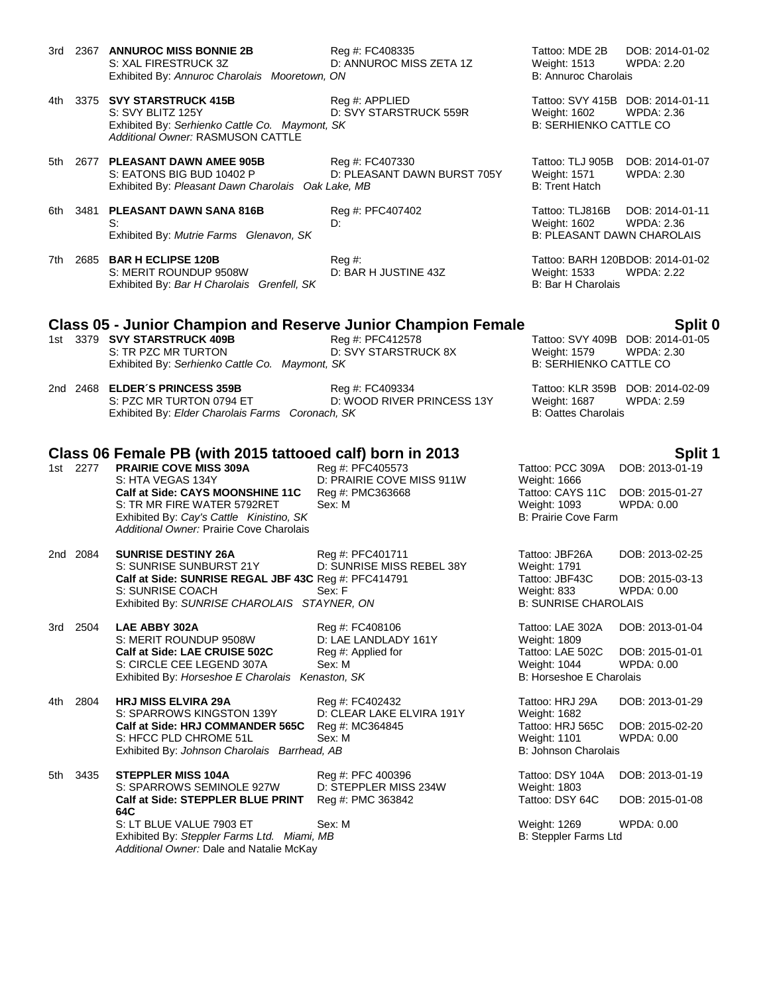- 3rd 2367 **ANNUROC MISS BONNIE 2B** Reg #: FC408335 Tattoo: MDE 2B DOB: 2014-01-02<br>S: XAL FIRESTRUCK 3Z D: ANNUROC MISS ZETA 1Z Weight: 1513 WPDA: 2.20 S: XAL FIRESTRUCK 3Z D: ANNUROC MISS ZETA 1Z Weight: 1513 WPDA: 2.20 Exhibited By: Annuroc Charolais Mooretown, ON B: Annuroc Charolais Charolais Mooretown, ON
- 4th 3375 **SVY STARSTRUCK 415B** Reg #: APPLIED Tattoo: SVY 415B DOB: 2014-01-11 S: SVY BLITZ 125Y D: SVY STARSTRUCK 559R Weight: 1602 WPDA: 2.36 Exhibited By: Serhienko Cattle Co. Maymont, SK B: SERHIENKO CATTLE CO. *Additional Owner:* RASMUSON CATTLE
- 5th 2677 **PLEASANT DAWN AMEE 905B** Reg #: FC407330 Tattoo: TLJ 905B DOB: 2014-01-07 S: EATONS BIG BUD 10402 P D: PLEASANT DAWN BURST 705Y Weight: 1571 WPDA: 2.30 Exhibited By: Pleasant Dawn Charolais Oak Lake, MB B: Trent Hatch
- 6th 3481 **PLEASANT DAWN SANA 816B** Reg #: PFC407402 Tattoo: TLJ816B DOB: 2014-01-11 S: Simple and the contract of the D: 2.366 D: 2.366 Weight: 1602 Exhibited By: *Mutrie Farms Glenavon, SK* B: PLEASANT DAWN CHAROLAIS
- 7th 2685 **BAR H ECLIPSE 120B** Reg #: Reg #: Tattoo: BARH 120BDOB: 2014-01-02 S: MERIT ROUNDUP 9508W D: BAR H JUSTINE 43Z Weight: 1533 WPDA: 2.22 Exhibited By: *Bar H Charolais Grenfell, SK* B: Bar H Charolais B: Bar H Charolais

- 
- 

# **Class 05 - Junior Champion and Reserve Junior Champion Female Split 0**

- 1st 3379 **SVY STARSTRUCK 409B** Reg #: PFC412578 **Tattoo: SVY 4**<br>S: TR PZC MR TURTON D: SVY STARSTRUCK 8X Weight: 1579 Exhibited By: Serhienko Cattle Co. Maymont, SK
- 2nd 2468 **ELDER´S PRINCESS 359B** Reg #: FC409334 Tattoo: KLR 359B DOB: 2014-02-09 S: PZC MR TURTON 0794 ET **D: WOOD RIVER PRINCESS 13Y** Weight: 1687 WPDA: 2.59<br>Exhibited By: *Elder Charolais Farms Coronach*, *SK* B: Oattes Charolais Exhibited By: Elder Charolais Farms Coronach, SK

### **Class 06 Female PB (with 2015 tattooed calf) born in 2013 Split 1**

- 1st 2277 **PRAIRIE COVE MISS 309A** Reg #: PFC405573 S: HTA VEGAS 134Y D: PRAIRIE COVE MISS 911W **Calf at Side: CAYS MOONSHINE 11C** Reg #: PMC363668 S: TR MR FIRE WATER 5792RET Sex: M<br>
Fxhibited By: Cay's Cattle Kinistino, SK Exhibited By: Cay's Cattle Kinistino, SK *Additional Owner:* Prairie Cove Charolais
- 2nd 2084 **SUNRISE DESTINY 26A** Reg #: PFC401711 Tattoo: JBF26A DOB: 2013-02-25 S: SUNRISE SUNBURST 21Y D: SUNRISE MISS REBEL 38Y Weight: 1791<br>
Calf at Side: SUNRISE REGAL JBF 43C Reg #: PFC414791 Tattoo: JBF43C **Calf at Side: SUNRISE REGAL JBF 43C** Reg #: PFC414791 Tattoo: JBF43C DOB: 2015-03-13 S: SUNRISE COACH Sex: F Sex: F Weight: 833 WPDA: 0.00 Exhibited By: *SUNRISE CHAROLAIS STAYNER, ON* B: SUNRISE CHAROLAIS
- 3rd 2504 **LAE ABBY 302A** Reg #: FC408106 Tattoo: LAE 302A DOB: 2013-01-04 S: MERIT ROUNDUP 9508W D: LAE LANDLADY 161Y Weight: 1809 **Calf at Side: LAE CRUISE 502C** Reg #: Applied for Tattoo: LAE 502C DOB: 2015-01-01<br>S: CIRCLE CEE LEGEND 307A Sex: M<br>Weight: 1044 WPDA: 0.00 S: CIRCLE CEE LEGEND 307A Sex: M Sex: M Weight: 1044 WPD Weight: 1044 WPD Exhibited By: Horseshoe E Charolais Kenaston, SK B: Norseshoe E Charolais Exhibited By: *Horseshoe E Charolais Kenaston, SK*
- 4th 2804 **HRJ MISS ELVIRA 29A** Reg #: FC402432 Tattoo: HRJ 29A DOB: 2013-01-29 S: SPARROWS KINGSTON 139Y D: CLEAR LAKE ELVIRA 191Y **Calf at Side: HRJ COMMANDER 565C** Reg #: MC364845 Tattoo: HRJ 565C DOB: 2015-02-20<br>S: HFCC PLD CHROME 51L Sex: M Sex: M Weight: 1101 WPDA: 0.00 S: HFCC PLD CHROME 51L Sex: M Sex: M Weight: 1101 Exhibited By: *Johnson Charolais Barrhead, AB* B: Johnson Charolais Bis Johnson Charolais

5th 3435 **STEPPLER MISS 104A** Reg #: PFC 400396 Tattoo: DSY 104A DOB: 2013-01-19 S: SPARROWS SEMINOLE 927W D: STEPPLER MISS 234W Weight: 1803 **Calf at Side: STEPPLER BLUE PRINT 64C** S: LT BLUE VALUE 7903 ET Sex: M Weight: 1269 WPDA: 0.00 Exhibited By: *Steppler Farms Ltd. Miami, MB* B: Steppler Farms Ltd *Additional Owner:* Dale and Natalie McKay

D: SVY STARSTRUCK 8X Weight: 1579 WPDA: 2.30<br>SK B: SERHIENKO CATTLE CO

| Tattoo: PCC 309A DOB: 2013-01-19 |                 |
|----------------------------------|-----------------|
| Weight: 1666                     |                 |
| Tattoo: CAYS 11C                 | DOB: 2015-01-27 |
| Weight: 1093                     | WPDA: 0.00      |
| B: Prairie Cove Farm             |                 |
|                                  |                 |

Reg #: PMC 363842 Tattoo: DSY 64C DOB: 2015-01-08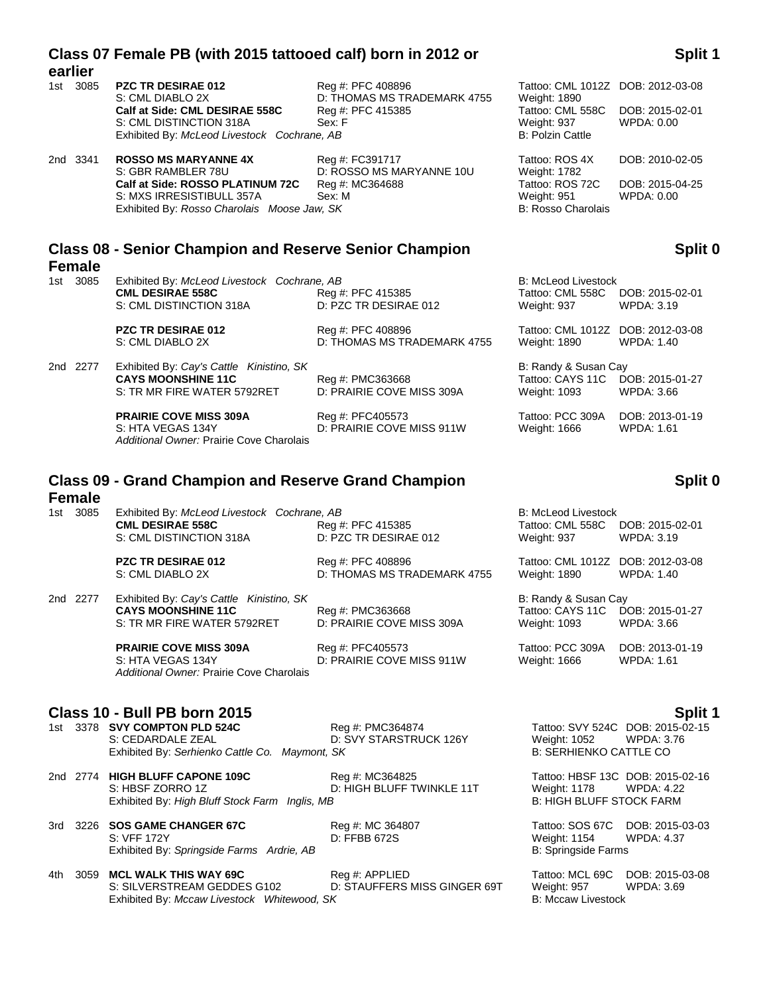|                           | Class 07 Female PB (with 2015 tattooed calf) born in 2012 or                                                                                                      |                                                                                 |                                                                                                                        | Split 1                                                          |
|---------------------------|-------------------------------------------------------------------------------------------------------------------------------------------------------------------|---------------------------------------------------------------------------------|------------------------------------------------------------------------------------------------------------------------|------------------------------------------------------------------|
| earlier<br>1st 3085       | PZC TR DESIRAE 012<br>S: CML DIABLO 2X<br>Calf at Side: CML DESIRAE 558C<br>S: CML DISTINCTION 318A<br>Exhibited By: McLeod Livestock Cochrane, AB                | Reg #: PFC 408896<br>D: THOMAS MS TRADEMARK 4755<br>Reg #: PFC 415385<br>Sex: F | Tattoo: CML 1012Z DOB: 2012-03-08<br><b>Weight: 1890</b><br>Tattoo: CML 558C<br>Weight: 937<br><b>B: Polzin Cattle</b> | DOB: 2015-02-01<br>WPDA: 0.00                                    |
| 2nd 3341                  | <b>ROSSO MS MARYANNE 4X</b><br>S: GBR RAMBLER 78U<br>Calf at Side: ROSSO PLATINUM 72C<br>S: MXS IRRESISTIBULL 357A<br>Exhibited By: Rosso Charolais Moose Jaw, SK | Reg #: FC391717<br>D: ROSSO MS MARYANNE 10U<br>Reg #: MC364688<br>Sex: M        | Tattoo: ROS 4X<br>Weight: 1782<br>Tattoo: ROS 72C<br>Weight: 951<br><b>B: Rosso Charolais</b>                          | DOB: 2010-02-05<br>DOB: 2015-04-25<br>WPDA: 0.00                 |
| <b>Female</b>             | <b>Class 08 - Senior Champion and Reserve Senior Champion</b>                                                                                                     |                                                                                 |                                                                                                                        | Split 0                                                          |
| 1st 3085                  | Exhibited By: McLeod Livestock Cochrane, AB<br><b>CML DESIRAE 558C</b><br>S: CML DISTINCTION 318A                                                                 | Reg #: PFC 415385<br>D: PZC TR DESIRAE 012                                      | <b>B: McLeod Livestock</b><br>Tattoo: CML 558C<br>Weight: 937                                                          | DOB: 2015-02-01<br>WPDA: 3.19                                    |
|                           | <b>PZC TR DESIRAE 012</b><br>S: CML DIABLO 2X                                                                                                                     | Reg #: PFC 408896<br>D: THOMAS MS TRADEMARK 4755                                | Tattoo: CML 1012Z DOB: 2012-03-08<br>Weight: 1890                                                                      | WPDA: 1.40                                                       |
| 2nd 2277                  | Exhibited By: Cay's Cattle Kinistino, SK<br><b>CAYS MOONSHINE 11C</b><br>S: TR MR FIRE WATER 5792RET                                                              | Reg #: PMC363668<br>D: PRAIRIE COVE MISS 309A                                   | B: Randy & Susan Cay<br>Tattoo: CAYS 11C<br>Weight: 1093                                                               | DOB: 2015-01-27<br>WPDA: 3.66                                    |
|                           | <b>PRAIRIE COVE MISS 309A</b><br>S: HTA VEGAS 134Y<br>Additional Owner: Prairie Cove Charolais                                                                    | Reg #: PFC405573<br>D: PRAIRIE COVE MISS 911W                                   | Tattoo: PCC 309A<br>Weight: 1666                                                                                       | DOB: 2013-01-19<br><b>WPDA: 1.61</b>                             |
|                           | <b>Class 09 - Grand Champion and Reserve Grand Champion</b>                                                                                                       |                                                                                 |                                                                                                                        | Split 0                                                          |
| <b>Female</b><br>1st 3085 | Exhibited By: McLeod Livestock Cochrane, AB<br><b>CML DESIRAE 558C</b><br>S: CML DISTINCTION 318A                                                                 | Reg #: PFC 415385<br>D: PZC TR DESIRAE 012                                      | <b>B: McLeod Livestock</b><br>Tattoo: CML 558C<br>Weight: 937                                                          | DOB: 2015-02-01<br>WPDA: 3.19                                    |
|                           | <b>PZC TR DESIRAE 012</b><br>S: CML DIABLO 2X                                                                                                                     | Reg #: PFC 408896<br>D: THOMAS MS TRADEMARK 4755                                | Tattoo: CML 1012Z DOB: 2012-03-08<br>Weight: 1890                                                                      | WPDA: 1.40                                                       |
| 2nd 2277                  | Exhibited By: Cay's Cattle Kinistino, SK<br><b>CAYS MOONSHINE 11C</b><br>S: TR MR FIRE WATER 5792RET                                                              | Reg #: PMC363668<br>D: PRAIRIE COVE MISS 309A                                   | B: Randy & Susan Cay<br>Tattoo: CAYS 11C DOB: 2015-01-27<br>Weight: 1093                                               | <b>WPDA: 3.66</b>                                                |
|                           | <b>PRAIRIE COVE MISS 309A</b><br>S: HTA VEGAS 134Y<br>Additional Owner: Prairie Cove Charolais                                                                    | Reg #: PFC405573<br>D: PRAIRIE COVE MISS 911W                                   | Tattoo: PCC 309A<br>Weight: 1666                                                                                       | DOB: 2013-01-19<br><b>WPDA: 1.61</b>                             |
|                           | Class 10 - Bull PB born 2015<br>1st 3378 SVY COMPTON PLD 524C<br>S: CEDARDALE ZEAL<br>Exhibited By: Serhienko Cattle Co. Maymont, SK                              | Reg #: PMC364874<br>D: SVY STARSTRUCK 126Y                                      | Weight: 1052<br><b>B: SERHIENKO CATTLE CO</b>                                                                          | Split 1<br>Tattoo: SVY 524C DOB: 2015-02-15<br><b>WPDA: 3.76</b> |

2nd 2774 **HIGH BLUFF CAPONE 109C** Reg #: MC364825 **Tattoo: HBSF 13C DOB: 2015-02-16** Tattoo: HBSF 13C DOB: 2015-02-16<br>22. S: HBSF ZORRO 1Z D: HIGH BLUFF TWINKLE 11T Weight: 1178 WPDA: 4.22 D: HIGH BLUFF TWINKLE 11T Weight: 1178 WPDA: 4.22<br>B: HIGH BLUFF STOCK FARM Exhibited By: *High Bluff Stock Farm Inglis, MB* 

3rd 3226 **SOS GAME CHANGER 67C** Reg #: MC 364807 Tattoo: SOS 67C DOB: 2015-03-03<br>S: VFF 172Y S: VFT 172Y D: FFBB 672S DEREE 672S S: VFF 172Y **D: FFBB 672S** Meight: 1154 WPDA: 4.37<br>Exhibited By: Springside Farms Ardrie, AB B: Springside Farms Media of B: Springside Farms Exhibited By: Springside Farms Ardrie, AB

4th 3059 **MCL WALK THIS WAY 69C** Reg #: APPLIED **Tattoo: MCL 69C** DOB: 2015-03-08<br>S: SILVERSTREAM GEDDES G102 D: STAUFFERS MISS GINGER 69T Weight: 957 WPDA: 3.69 D: STAUFFERS MISS GINGER 69T Weight: 957 | V<br>B: Mccaw Livestock Exhibited By: Mccaw Livestock Whitewood, SK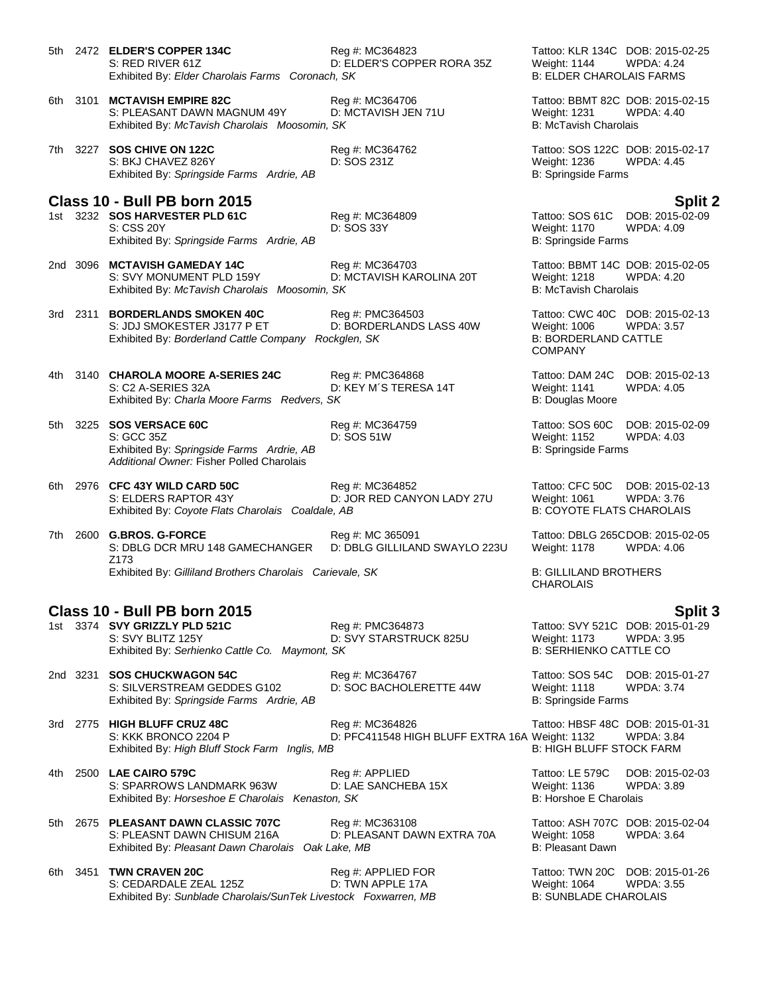5th 2472 **ELDER'S COPPER 134C** Reg #: MC364823 Tattoo: KLR 134C DOB: 2015-02-25 S: RED RIVER 61Z **D: ELDER'S COPPER RORA 35Z** Weight: 1144 WPDA: 4.24<br>Exhibited By: Elder Charolais Farms Coronach, SK **B: ELDER CHAROLAIS FARMS** Exhibited By: Elder Charolais Farms Coronach, SK

6th 3101 **MCTAVISH EMPIRE 82C** Reg #: MC364706 Tattoo: BBMT 82C DOB: 2015-02-15 S: PLEASANT DAWN MAGNUM 49Y D: MCTAVISH JEN 71U Weight: 1231 WPDA: 4.40 Exhibited By: *McTavish Charolais Moosomin, SK* B: McTavish Charolais *B*: McTavish Charolais

7th 3227 **SOS CHIVE ON 122C** Reg #: MC364762 Tattoo: SOS 122C DOB: 2015-02-17 S: BKJ CHAVEZ 826Y D: SOS 231Z Weight: 1236 WPDA: 4.45 Exhibited By: *Springside Farms Ardrie, AB* B: Springside Farms Ardrie, AB

## **Class 10 - Bull PB born 2015 Split 2**

1st 3232 **SOS HARVESTER PLD 61C** S: CSS 20Y D: SOS 33Y DESCUSS 20Y Weight: 1170 WPDA: 4.09<br>Exhibited By: Springside Farms Ardrie, AB B: Springside Farms B: Springside Farms Exhibited By: Springside Farms Ardrie, AB

2nd 3096 **MCTAVISH GAMEDAY 14C** Reg #: MC364703 Tattoo: BBMT 14C DOB: 2015-02-05 Exhibited By: McTavish Charolais Moosomin, SK

3rd 2311 **BORDERLANDS SMOKEN 40C** Reg #: PMC364503 Tattoo: CWC 40C DOB: 2015-02-13 D: BORDERLANDS LASS 40W Exhibited By: *Borderland Cattle Company Rockglen, SK* B: BORDERLAND CATTLE

4th 3140 **CHAROLA MOORE A-SERIES 24C** Reg #: PMC364868 Tattoo: DAM 24C DOB: 2015-02-13 S: C2 A-SERIES 32A D: KEY M´S TERESA 14T Weight: 1141 WPDA: 4.05 Exhibited By: *Charla Moore Farms Redvers, SK* B: Douglas Moore B: Douglas Moore

5th 3225 **SOS VERSACE 60C** Reg #: MC364759 Tattoo: SOS 60C DOB: 2015-02-09 S: GCC 35Z D: SOS 51W Weight: 1152 WPDA: 4.03 Exhibited By: Springside Farms Ardrie, AB B: Springside Farms Ardrie, AB B: Springside Farms *Additional Owner:* Fisher Polled Charolais

6th 2976 **CFC 43Y WILD CARD 50C** Reg #: MC364852 Tattoo: CFC 50C DOB: 2015-02-13 D: JOR RED CANYON LADY 27U Weight: 1061 WPDA: 3.76<br>e, AB B: COYOTE FLATS CHAROLAIS Exhibited By: Coyote Flats Charolais Coaldale, AB

7th 2600 **G.BROS. G-FORCE** Reg #: MC 365091 Tattoo: DBLG 265CDOB: 2015-02-05 S: DBLG DCR MRU 148 GAMECHANGER Z173 D: DBLG GILLILAND SWAYLO 223U Weight: 1178 WPDA: 4.06 Exhibited By: *Gilliland Brothers Charolais Carievale, SK* B: GILLILAND BROTHERS

### **Class 10 - Bull PB born 2015 Split 3**

1st 3374 **SVY GRIZZLY PLD 521C** Reg #: PMC364873 Tattoo: SVY 521C DOB: 2015-01-29 S: SVY BLITZ 125Y D: SVY STARSTRUCK 825U Weight: 1173 WPDA: 3.95 Exhibited By: Serhienko Cattle Co. Maymont, SK **B: SERHIENKO CATTLE CO.** B: SERHIENKO CATTLE CO

2nd 3231 **SOS CHUCKWAGON 54C** Reg #: MC364767 Tattoo: SOS 54C DOB: 2015-01-27 S: SILVERSTREAM GEDDES G102 D: SOC BACHOLERETTE 44W Weight: 1118 Exhibited By: *Springside Farms Ardrie, AB* B: Springside Farms Ardrie, AB B: Springside Farms

3rd 2775 **HIGH BLUFF CRUZ 48C** Reg #: MC364826 Tattoo: HBSF 48C DOB: 2015-01-31 S: KKK BRONCO 2204 P D: PFC411548 HIGH BLUFF EXTRA 16A Weight: 1132 WPDA: 3.84

Exhibited By: *High Bluff Stock Farm Inglis, MB* B: **HIGH BLUFF STOCK FARM** B: HIGH BLUFF STOCK FARM

4th 2500 **LAE CAIRO 579C** Reg #: APPLIED Tattoo: LE 579C DOB: 2015-02-03<br>S: SPARROWS LANDMARK 963W D: LAE SANCHEBA 15X Weight: 1136 WPDA: 3.89 S: SPARROWS LANDMARK 963W D: LAE SANCHEBA 15X Weight: 1136 WP<br>Exhibited By: Horseshoe E Charolais Kenaston, SK B: Horshoe E Charolais Exhibited By: *Horseshoe E Charolais Kenaston, SK* 

5th 2675 **PLEASANT DAWN CLASSIC 707C** Reg #: MC363108 Tattoo: ASH 707C DOB: 2015-02-04<br>S: PLEASNT DAWN CHISUM 216A D: PLEASANT DAWN EXTRA 70A Weight: 1058 WPDA: 3.64 D: PLEASANT DAWN EXTRA 70A Weight: 1058 WPDA: 3.64 Exhibited By: Pleasant Dawn Charolais Oak Lake, MB **Billion Communist Carolant Dawn** B: Pleasant Dawn

6th 3451 **TWN CRAVEN 20C** Reg #: APPLIED FOR Tattoo: TWN 20C DOB: 2015-01-26 S: CEDARDALE ZEAL 125Z D: TWN APPLE 17A Weight: 1064 WPDA: 3.<br>Exhibited By: Sunblade Charolais/SunTek Livestock Foxwarren, MB B: SUNBLADE CHAROLAIS Exhibited By: Sunblade Charolais/SunTek Livestock Foxwarren, MB

D: MCTAVISH KAROLINA 20T Weight: 1218 WPDA: 4.20<br>SK B: McTavish Charolais

COMPANY

**CHAROLAIS**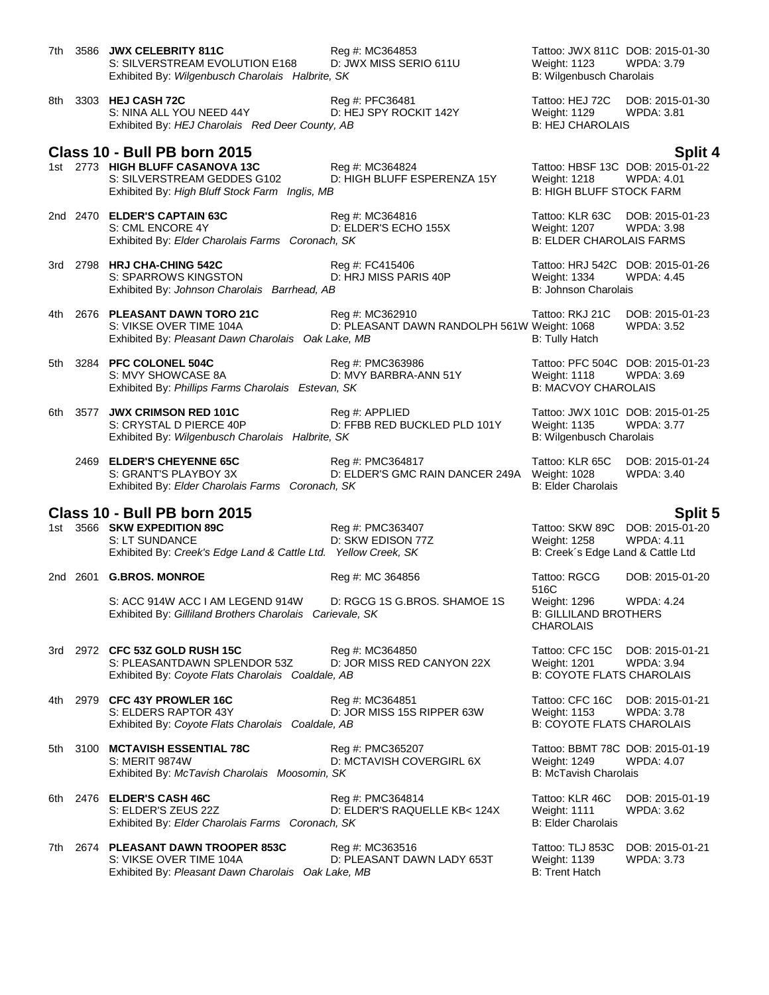| 7th |      | 3586 JWX CELEBRITY 811C<br>S: SILVERSTREAM EVOLUTION E168<br>Exhibited By: Wilgenbusch Charolais Halbrite, SK       | Reg #: MC364853<br>D: JWX MISS SERIO 611U                      | Tattoo: JWX 811C DOB: 2015-01-30<br>Weight: 1123<br>B: Wilgenbusch Charolais            | WPDA: 3.79                                             |
|-----|------|---------------------------------------------------------------------------------------------------------------------|----------------------------------------------------------------|-----------------------------------------------------------------------------------------|--------------------------------------------------------|
| 8th |      | 3303 HEJ CASH 72C<br>S: NINA ALL YOU NEED 44Y<br>Exhibited By: HEJ Charolais Red Deer County, AB                    | Reg #: PFC36481<br>D: HEJ SPY ROCKIT 142Y                      | Tattoo: HEJ 72C<br>Weight: 1129<br><b>B: HEJ CHAROLAIS</b>                              | DOB: 2015-01-30<br>WPDA: 3.81                          |
|     |      | Class 10 - Bull PB born 2015                                                                                        |                                                                |                                                                                         | <b>Split 4</b>                                         |
|     |      | 1st 2773 HIGH BLUFF CASANOVA 13C<br>S: SILVERSTREAM GEDDES G102<br>Exhibited By: High Bluff Stock Farm Inglis, MB   | Reg #: MC364824<br>D: HIGH BLUFF ESPERENZA 15Y                 | Tattoo: HBSF 13C DOB: 2015-01-22<br>Weight: 1218<br><b>B: HIGH BLUFF STOCK FARM</b>     | <b>WPDA: 4.01</b>                                      |
|     |      | 2nd 2470 ELDER'S CAPTAIN 63C<br>S: CML ENCORE 4Y<br>Exhibited By: Elder Charolais Farms Coronach, SK                | Reg #: MC364816<br>D: ELDER'S ECHO 155X                        | Tattoo: KLR 63C<br>Weight: 1207<br><b>B: ELDER CHAROLAIS FARMS</b>                      | DOB: 2015-01-23<br><b>WPDA: 3.98</b>                   |
|     |      | 3rd 2798 HRJ CHA-CHING 542C<br>S: SPARROWS KINGSTON<br>Exhibited By: Johnson Charolais Barrhead, AB                 | Reg #: FC415406<br>D: HRJ MISS PARIS 40P                       | Tattoo: HRJ 542C DOB: 2015-01-26<br>Weight: 1334<br>B: Johnson Charolais                | WPDA: 4.45                                             |
| 4th |      | 2676 PLEASANT DAWN TORO 21C<br>S: VIKSE OVER TIME 104A<br>Exhibited By: Pleasant Dawn Charolais Oak Lake, MB        | Reg #: MC362910<br>D: PLEASANT DAWN RANDOLPH 561W Weight: 1068 | Tattoo: RKJ 21C<br><b>B: Tully Hatch</b>                                                | DOB: 2015-01-23<br>WPDA: 3.52                          |
| 5th | 3284 | PFC COLONEL 504C<br>S: MVY SHOWCASE 8A<br>Exhibited By: Phillips Farms Charolais Estevan, SK                        | Reg #: PMC363986<br>D: MVY BARBRA-ANN 51Y                      | Tattoo: PFC 504C DOB: 2015-01-23<br>Weight: 1118<br><b>B: MACVOY CHAROLAIS</b>          | <b>WPDA: 3.69</b>                                      |
| 6th | 3577 | <b>JWX CRIMSON RED 101C</b><br>S: CRYSTAL D PIERCE 40P<br>Exhibited By: Wilgenbusch Charolais Halbrite, SK          | Reg #: APPLIED<br>D: FFBB RED BUCKLED PLD 101Y                 | Tattoo: JWX 101C DOB: 2015-01-25<br>Weight: 1135<br>B: Wilgenbusch Charolais            | <b>WPDA: 3.77</b>                                      |
|     |      | 2469 ELDER'S CHEYENNE 65C<br>S: GRANT'S PLAYBOY 3X<br>Exhibited By: Elder Charolais Farms Coronach, SK              | Reg #: PMC364817<br>D: ELDER'S GMC RAIN DANCER 249A            | Tattoo: KLR 65C<br>Weight: 1028<br><b>B: Elder Charolais</b>                            | DOB: 2015-01-24<br>WPDA: 3.40                          |
|     |      | Class 10 - Bull PB born 2015                                                                                        |                                                                |                                                                                         |                                                        |
|     |      | 1st 3566 SKW EXPEDITION 89C<br>S: LT SUNDANCE<br>Exhibited By: Creek's Edge Land & Cattle Ltd. Yellow Creek, SK     | Reg #: PMC363407<br>D: SKW EDISON 77Z                          | Tattoo: SKW 89C<br>Weight: 1258<br>B: Creek's Edge Land & Cattle Ltd                    | <b>Split 5</b><br>DOB: 2015-01-20<br><b>WPDA: 4.11</b> |
|     |      | 2nd 2601 G.BROS. MONROE                                                                                             | Reg #: MC 364856                                               | Tattoo: RGCG                                                                            | DOB: 2015-01-20                                        |
|     |      | S: ACC 914W ACC I AM LEGEND 914W<br>Exhibited By: Gilliland Brothers Charolais Carievale, SK                        | D: RGCG 1S G.BROS. SHAMOE 1S                                   | 516C<br>Weight: 1296<br><b>B: GILLILAND BROTHERS</b><br><b>CHAROLAIS</b>                | <b>WPDA: 4.24</b>                                      |
|     |      | 3rd 2972 CFC 53Z GOLD RUSH 15C<br>S: PLEASANTDAWN SPLENDOR 53Z<br>Exhibited By: Coyote Flats Charolais Coaldale, AB | Reg #: MC364850<br>D: JOR MISS RED CANYON 22X                  | Tattoo: CFC 15C<br><b>Weight: 1201</b><br><b>B: COYOTE FLATS CHAROLAIS</b>              | DOB: 2015-01-21<br>WPDA: 3.94                          |
| 4th |      | 2979 CFC 43Y PROWLER 16C<br>S: ELDERS RAPTOR 43Y<br>Exhibited By: Coyote Flats Charolais Coaldale, AB               | Reg #: MC364851<br>D: JOR MISS 15S RIPPER 63W                  | Tattoo: CFC 16C<br><b>Weight: 1153</b><br><b>B: COYOTE FLATS CHAROLAIS</b>              | DOB: 2015-01-21<br>WPDA: 3.78                          |
| 5th |      | 3100 MCTAVISH ESSENTIAL 78C<br><b>S: MERIT 9874W</b><br>Exhibited By: McTavish Charolais Moosomin, SK               | Reg #: PMC365207<br>D: MCTAVISH COVERGIRL 6X                   | Tattoo: BBMT 78C DOB: 2015-01-19<br><b>Weight: 1249</b><br><b>B: McTavish Charolais</b> | WPDA: 4.07                                             |
| 6th |      | 2476 ELDER'S CASH 46C<br>S: ELDER'S ZEUS 22Z<br>Exhibited By: Elder Charolais Farms Coronach, SK                    | Reg #: PMC364814<br>D: ELDER'S RAQUELLE KB< 124X               | Tattoo: KLR 46C<br><b>Weight: 1111</b><br><b>B: Elder Charolais</b>                     | DOB: 2015-01-19<br>WPDA: 3.62                          |
| 7th |      | 2674 PLEASANT DAWN TROOPER 853C<br>S: VIKSE OVER TIME 104A<br>Exhibited By: Pleasant Dawn Charolais Oak Lake, MB    | Reg #: MC363516<br>D: PLEASANT DAWN LADY 653T                  | Tattoo: TLJ 853C<br>Weight: 1139<br><b>B: Trent Hatch</b>                               | DOB: 2015-01-21<br>WPDA: 3.73                          |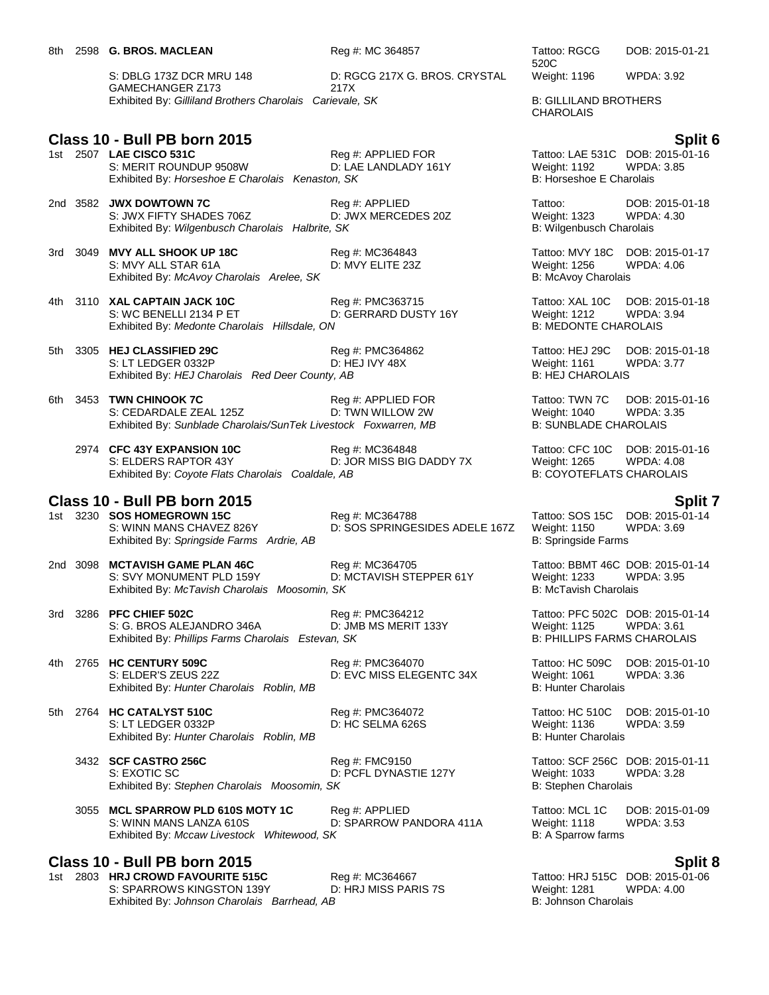S: DBLG 173Z DCR MRU 148 GAMECHANGER Z173 D: RGCG 217X G. BROS. CRYSTAL 217X Exhibited By: Gilliland Brothers Charolais Carievale, SK B: GILLILAND BROTHERS

# **Class 10 - Bull PB born 2015 Split 6**

- S: MERIT ROUNDUP 9508W D: LAE LANDLADY 161Y Weight: 1192 WPDA:<br>Exhibited By: Horseshoe E Charolais Kenaston, SK B: Horseshoe E Charolais Exhibited By: *Horseshoe E Charolais Kenaston, SK*
- 2nd 3582 **JWX DOWTOWN 7C** Reg #: APPLIED Reg Tattoo: DOB: 2015-01-18<br>S: JWX FIFTY SHADES 706Z D: JWX MERCEDES 20Z Weight: 1323 WPDA: 4.30 S: JWX FIFTY SHADES 706Z D: JWX MERCEDES 20Z Weight: 1323 WPDA: Exhibited By: Wilgenbusch Charolais Halbrite. SK Exhibited By: Wilgenbusch Charolais Halbrite, SK
- 3rd 3049 **MVY ALL SHOOK UP 18C** Reg #: MC364843 Tattoo: MVY 18C DOB: 2015-01-17 S: MVY ALL STAR 61A **D: MVY ELITE 23Z** Weight: 1256 WPDA: 4.06<br>
Exhibited By: *McAvoy Charolais Arelee, SK* B: McAvoy Charolais Exhibited By: McAvoy Charolais Arelee, SK
- 4th 3110 **XAL CAPTAIN JACK 10C** Reg #: PMC363715 Tattoo: XAL 10C DOB: 2015-01-18 S: WC BENELLI 2134 P ET 
D: GERRARD DUSTY 16Y 
D: Mendel By: Medonte Charolais Hillsdale, ON
B: MEDONTE CHAROLAIS

B: MEDONTE CHAROLAIS

D: D: MEDONTE CHAROLAIS

D: GERRARD DUSTY 16Y

B: MEDONTE CHAROLAIS Exhibited By: Medonte Charolais Hillsdale, ON
- 5th 3305 **HEJ CLASSIFIED 29C** Reg #: PMC364862 Tattoo: HEJ 29C DOB: 2015-01-18 S: LT LEDGER 0332P D: HEJ IVY 48X Weight: 1161 WPDA: 3.77 Exhibited By: *HEJ Charolais Red Deer County, AB* B: HEJ CHAROLAIS
- 6th 3453 **TWN CHINOOK 7C** Reg #: APPLIED FOR Tattoo: TWN 7C DOB: 2015-01-16 S: CEDARDALE ZEAL 125Z **D: TWN WILLOW 2W Weight: 1040** WPDA: 3.35 Exhibited By: Sunblade Charolais/SunTek Livestock Foxwarren, MB B: SUNBLADE CHAROLAIS
	- 2974 **CFC 43Y EXPANSION 10C** Reg #: MC364848 Tattoo: CFC 10C DOB: 2015-01-16 D: JOR MISS BIG DADDY 7X Exhibited By: *Coyote Flats Charolais Coaldale, AB* B: COYOTEFLATS CHAROLAIS

### **Class 10 - Bull PB born 2015 Split 7**

1st 3230 **SOS HOMEGROWN 15C** Reg #: MC364788 Tattoo: SOS 15C DOB: 2015-01-14<br>S: WINN MANS CHAVEZ 826Y D: SOS SPRINGESIDES ADELE 167Z Weight: 1150 WPDA: 3.69 Exhibited By: Springside Farms Ardrie, AB B: Springside Farms Ardrie, AB B: Springside Farms

D: SOS SPRINGESIDES ADELE 167Z Weight: 1150

- 2nd 3098 **MCTAVISH GAME PLAN 46C** Reg #: MC364705 Tattoo: BBMT 46C DOB: 2015-01-14 S: SVY MONUMENT PLD 159Y D: MCTAVISH STEPPER 61Y Weight: 1233 WPDA: 3.95 Exhibited By: *McTavish Charolais Moosomin, SK* B: McTavish Charolais B: McTavish Charolais
- 3rd 3286 **PFC CHIEF 502C** Reg #: PMC364212 Tattoo: PFC 502C DOB: 2015-01-14 S: G. BROS ALEJANDRO 346A D: JMB MS MERIT 133Y Weight: 1125 WPDA: 3.61 Exhibited By: *Phillips Farms Charolais Estevan, SK* B: PHILLIPS FARMS CHAROLAIS
- 4th 2765 **HC CENTURY 509C** Reg #: PMC364070 Tattoo: HC 509C DOB: 2015-01-10 S: ELDER'S ZEUS 22Z D: EVC MISS ELEGENTC 34X Weight: 1061 WPDA: 3.36 Exhibited By: Hunter Charolais Roblin, MB

D: HC SELMA 626S

- 3432 **SCF CASTRO 256C** Reg #: FMC9150 Reg **Example 2015-01-11** S: EXOTIC SC<br>
S: EXOTIC SC **Reg #: FMC9150** D: PCFL DYNASTIE 127Y Weight: 1033 WPDA: 3.28 Exhibited By: Stephen Charolais Moosomin, SK
- 3055 **MCL SPARROW PLD 610S MOTY 1C** Reg #: APPLIED Tattoo: MCL 1C DOB: 2015-01-09 D: SPARROW PANDORA 411A Exhibited By: *Mccaw Livestock Whitewood, SK* B: A Sparrow farms

### **Class 10 - Bull PB born 2015 Split 8**

1st 2803 **HRJ CROWD FAVOURITE 515C** Reg #: MC364667 Tattoo: HRJ 515C DOB: 2015-01-06 S: SPARROWS KINGSTON 139Y D: HRJ MISS PARIS 7S Weight: 1281 WPDA: 4.00 Exhibited By: *Johnson Charolais Barrhead, AB* B: *Johnson Charolais* B: *Johnson Charolais* 

520C DOB: 2015-01-21

Weight: 1196 WPDA: 3.92

**CHAROLAIS** 

1) Reg #: APPLIED FOR Tattoo: LAE 531C DOB: 2015-01-16<br>
D: LAE LANDLADY 161Y Weight: 1192 WPDA: 3.85

5th 2764 **HC CATALYST 510C** Reg #: PMC364072 Tattoo: HC 510C DOB: 2015-01-10 Exhibited By: *Hunter Charolais Roblin, MB* B: Hunter Charolais And B: Hunter Charolais

D: PCFL DYNASTIE 127Y Weight: 1033 W<br>SK B: Stephen Charolais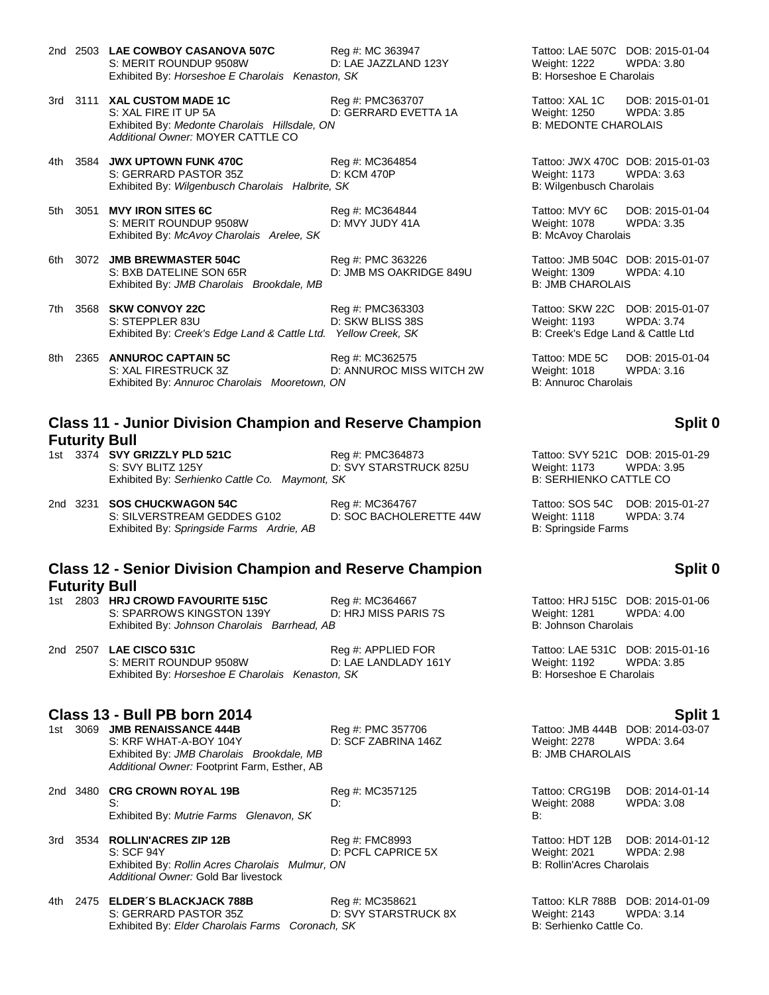2nd 2503 **LAE COWBOY CASANOVA 507C** Reg #: MC 363947 Tattoo: LAE 507C DOB: 2015-01-04 S: MERIT ROUNDUP 9508W D: LAE JAZZLAND 123Y Weight: 1222 WPDA: 3.80 Exhibited By: *Horseshoe E Charolais Kenaston, SK* B: *Horseshoe E Charolais* 

- 3rd 3111 **XAL CUSTOM MADE 1C** Reg #: PMC363707 Tattoo: XAL 1C DOB: 2015-01-01 S: XAL FIRE IT UP 5A D: GERRARD EVETTA 1A Weight: 1250 WPDA: 3.85 Exhibited By: *Medonte Charolais Hillsdale, ON* B: MEDONTE CHAROLAIS *Additional Owner:* MOYER CATTLE CO
- 4th 3584 **JWX UPTOWN FUNK 470C** Reg #: MC364854 Tattoo: JWX 470C DOB: 2015-01-03 S: GERRARD PASTOR 35Z D: KCM 470P Weight: 1173 WPDA: 3.63 Exhibited By: Wilgenbusch Charolais Halbrite, SK B: Wilgenbusch Charolais Halbrite, SK
- 5th 3051 **MVY IRON SITES 6C** Reg #: MC364844 Tattoo: MVY 6C DOB: 2015-01-04 S: MERIT ROUNDUP 9508W D: MVY JUDY 41A Weight: 1078 Exhibited By: *McAvoy Charolais Arelee, SK* B: McAvoy Charolais
- 6th 3072 **JMB BREWMASTER 504C** Reg #: PMC 363226 Tattoo: JMB 504C DOB: 2015-01-07 S: BXB DATELINE SON 65R D: JMB MS OAKRIDGE 849U Weight: 1309 WPDA: 4.10 Exhibited By: *JMB Charolais Brookdale, MB* B: JMB CHAROLAIS

- 7th 3568 **SKW CONVOY 22C** Reg #: PMC363303 Tattoo: SKW 22C DOB: 2015-01-07 S: STEPPLER 83U D: SKW BLISS 38S Weight: 1193 WPDA: 3.74 Exhibited By: *Creek's Edge Land & Cattle Ltd.* Yellow Creek, SK B: Creek's Edge Land & Cattle Ltd
- 8th 2365 **ANNUROC CAPTAIN 5C** Reg #: MC362575 Tattoo: MDE 5C DOB: 2015-01-04<br>S: XAL FIRESTRUCK 3Z D: ANNUROC MISS WITCH 2W Weight: 1018 WPDA: 3.16 S: XAL FIRESTRUCK 3Z D: ANNUROC MISS WITCH 2W Weight: 1018 WPDA: 3.16 Exhibited By: Annuroc Charolais Mooretown, ON

## **Class 11 - Junior Division Champion and Reserve Champion Futurity Bull**

1st 3374 **SVY GRIZZLY PLD 521C** Reg #: PMC364873 Tattoo: SVY 521C DOB: 2015-01-29 S: SVY BLITZ 125Y D: SVY STARSTRUCK 825U Weight: 1173 WPDA: 3.95 Exhibited By: Serhienko Cattle Co. Maymont, SK B: SERHIENKO CATTLE CO.

2nd 3231 **SOS CHUCKWAGON 54C** Reg #: MC364767 Tattoo: SOS 54C DOB: 2015-01-27 S: SILVERSTREAM GEDDES G102 D: SOC BACHOLERETTE 44W Weight: 1118 WPDA: 3.74 Exhibited By: Springside Farms Ardrie, AB B: Springside Farms Ardrie, AB B: Springside Farms

### **Class 12 - Senior Division Champion and Reserve Champion Futurity Bull**

- 1st 2803 **HRJ CROWD FAVOURITE 515C** Reg #: MC364667 Tattoo: HRJ 515C DOB: 2015-01-06 S: SPARROWS KINGSTON 139Y D: HRJ MISS PARIS 7S Weight: 1281 WPDA: 4.00<br>Exhibited By: Johnson Charolais Barrhead, AB B: Johnson Charolais Exhibited By: Johnson Charolais Barrhead, AB
- 2nd 2507 **LAE CISCO 531C** Reg #: APPLIED FOR Tattoo: LAE 531C DOB: 2015-01-16 S: MERIT ROUNDUP 9508W D: LAE LANDLADY 161Y Weight: 1192 WPDA: 3.85 Exhibited By: *Horseshoe E Charolais Kenaston, SK* B: Horseshoe E Charolais

# **Class 13 - Bull PB born 2014 Split 1**

S: KRF WHAT-A-BOY 104Y D: SCF ZABRINA 146Z Weight: 2278 WPDA: 3.64<br>
Exhibited By: JMB Charolais Brookdale, MB B: JMB CHAROLAIS Exhibited By: JMB Charolais Brookdale. MB *Additional Owner:* Footprint Farm, Esther, AB

2nd 3480 **CRG CROWN ROYAL 19B** Reg #: MC357125 Tattoo: CRG19B DOB: 2014-01-14 S: D: Weight: 2088 WPDA: 3.08 Exhibited By: *Mutrie Farms Glenavon, SK* B:

3rd 3534 **ROLLIN'ACRES ZIP 12B** Reg #: FMC8993 Tattoo: HDT 12B DOB: 2014-01-12 S: SCF 94Y D: PCFL CAPRICE 5X Weight: 2021 WPDA: 2.98 Exhibited By: *Rollin Acres Charolais Mulmur, ON* B: Rollin'Acres Charolais Mulmur, ON *Additional Owner:* Gold Bar livestock

4th 2475 **ELDER´S BLACKJACK 788B** Reg #: MC358621 Tattoo: KLR 788B DOB: 2014-01-09 S: GERRARD PASTOR 35Z D: SVY STARSTRUCK 8X Weight: 2143 WPDA: 3.14<br>Exhibited By: Elder Charolais Farms Coronach, SK B: Serhienko Cattle Co. Exhibited By: Elder Charolais Farms Coronach, SK

### **Split 0**

## **Split 0**

1st 3069 **JMB RENAISSANCE 444B** Reg #: PMC 357706 Tattoo: JMB 444B DOB: 2014-03-07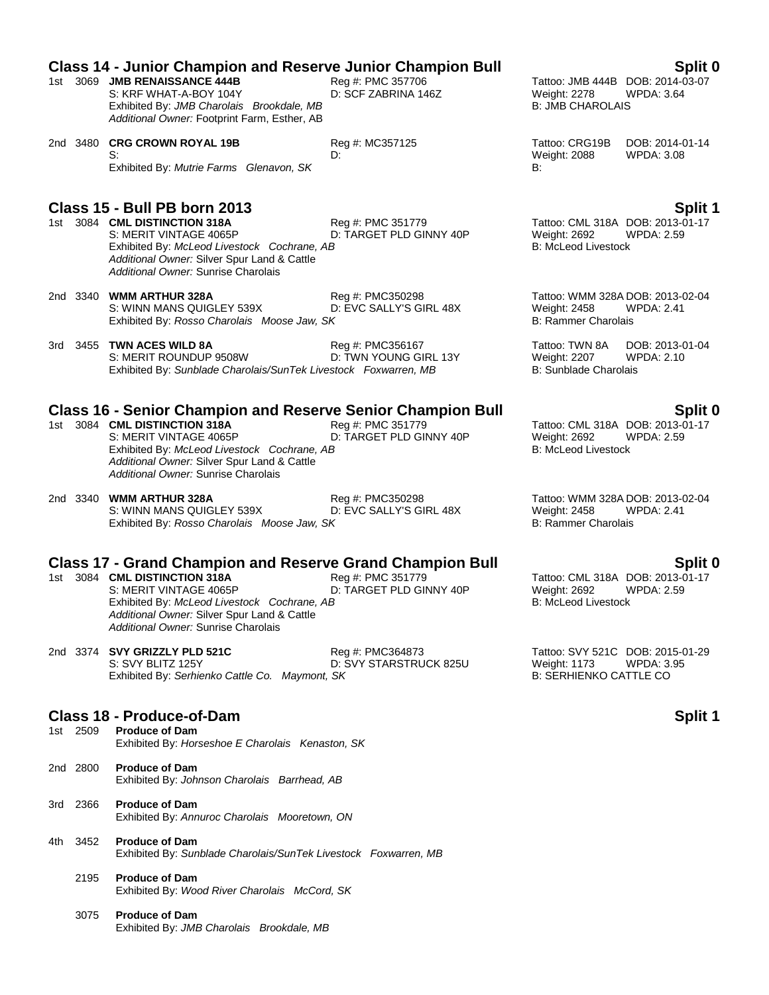|             | <b>Class 14 - Junior Champion and Reserve Junior Champion Bull</b><br>1st 3069 JMB RENAISSANCE 444B<br>S: KRF WHAT-A-BOY 104Y<br>Exhibited By: JMB Charolais Brookdale, MB<br>Additional Owner: Footprint Farm, Esther, AB                                         | Reg #: PMC 357706<br>D: SCF ZABRINA 146Z     | Weight: 2278<br><b>B: JMB CHAROLAIS</b>                        | Split 0<br>Tattoo: JMB 444B DOB: 2014-03-07<br><b>WPDA: 3.64</b>        |
|-------------|--------------------------------------------------------------------------------------------------------------------------------------------------------------------------------------------------------------------------------------------------------------------|----------------------------------------------|----------------------------------------------------------------|-------------------------------------------------------------------------|
|             | 2nd 3480 CRG CROWN ROYAL 19B<br>S:<br>Exhibited By: Mutrie Farms Glenavon, SK                                                                                                                                                                                      | Reg #: MC357125<br>D:                        | Tattoo: CRG19B<br>Weight: 2088<br>B:                           | DOB: 2014-01-14<br><b>WPDA: 3.08</b>                                    |
|             | Class 15 - Bull PB born 2013<br>1st 3084 CML DISTINCTION 318A<br>S: MERIT VINTAGE 4065P<br>Exhibited By: McLeod Livestock Cochrane, AB<br>Additional Owner: Silver Spur Land & Cattle<br>Additional Owner: Sunrise Charolais                                       | Reg #: PMC 351779<br>D: TARGET PLD GINNY 40P | Weight: 2692<br><b>B: McLeod Livestock</b>                     | <b>Split 1</b><br>Tattoo: CML 318A DOB: 2013-01-17<br><b>WPDA: 2.59</b> |
|             | 2nd 3340 WMM ARTHUR 328A<br>S: WINN MANS QUIGLEY 539X<br>Exhibited By: Rosso Charolais Moose Jaw, SK                                                                                                                                                               | Reg #: PMC350298<br>D: EVC SALLY'S GIRL 48X  | Weight: 2458<br><b>B: Rammer Charolais</b>                     | Tattoo: WMM 328A DOB: 2013-02-04<br><b>WPDA: 2.41</b>                   |
|             | 3rd 3455 TWN ACES WILD 8A<br>S: MERIT ROUNDUP 9508W<br>Exhibited By: Sunblade Charolais/SunTek Livestock Foxwarren, MB                                                                                                                                             | Reg #: PMC356167<br>D: TWN YOUNG GIRL 13Y    | Tattoo: TWN 8A<br>Weight: 2207<br><b>B: Sunblade Charolais</b> | DOB: 2013-01-04<br>WPDA: 2.10                                           |
|             | <b>Class 16 - Senior Champion and Reserve Senior Champion Bull</b><br>1st 3084 CML DISTINCTION 318A<br>S: MERIT VINTAGE 4065P<br>Exhibited By: McLeod Livestock Cochrane, AB<br>Additional Owner: Silver Spur Land & Cattle<br>Additional Owner: Sunrise Charolais | Reg #: PMC 351779<br>D: TARGET PLD GINNY 40P | Weight: 2692<br><b>B: McLeod Livestock</b>                     | Split 0<br>Tattoo: CML 318A DOB: 2013-01-17<br>WPDA: 2.59               |
|             | 2nd 3340 WMM ARTHUR 328A<br>S: WINN MANS QUIGLEY 539X<br>Exhibited By: Rosso Charolais Moose Jaw, SK                                                                                                                                                               | Reg #: PMC350298<br>D: EVC SALLY'S GIRL 48X  | Weight: 2458<br><b>B: Rammer Charolais</b>                     | Tattoo: WMM 328A DOB: 2013-02-04<br>WPDA: 2.41                          |
|             | <b>Class 17 - Grand Champion and Reserve Grand Champion Bull</b><br>1st 3084 CML DISTINCTION 318A<br>S: MERIT VINTAGE 4065P<br>Exhibited By: McLeod Livestock Cochrane, AB<br>Additional Owner: Silver Spur Land & Cattle<br>Additional Owner: Sunrise Charolais   | Reg #: PMC 351779<br>D: TARGET PLD GINNY 40P | Weight: 2692<br><b>B: McLeod Livestock</b>                     | Split 0<br>Tattoo: CML 318A DOB: 2013-01-17<br><b>WPDA: 2.59</b>        |
|             | 2nd 3374 SVY GRIZZLY PLD 521C<br>S: SVY BLITZ 125Y<br>Exhibited By: Serhienko Cattle Co. Maymont, SK                                                                                                                                                               | Reg #: PMC364873<br>D: SVY STARSTRUCK 825U   | <b>Weight: 1173</b><br><b>B: SERHIENKO CATTLE CO</b>           | Tattoo: SVY 521C DOB: 2015-01-29<br><b>WPDA: 3.95</b>                   |
| 1st 2509    | <b>Class 18 - Produce-of-Dam</b><br><b>Produce of Dam</b><br>Exhibited By: Horseshoe E Charolais Kenaston, SK                                                                                                                                                      |                                              |                                                                | <b>Split 1</b>                                                          |
| 2nd 2800    | <b>Produce of Dam</b><br>Exhibited By: Johnson Charolais Barrhead, AB                                                                                                                                                                                              |                                              |                                                                |                                                                         |
| 2366<br>3rd | <b>Produce of Dam</b><br>Exhibited By: Annuroc Charolais Mooretown, ON                                                                                                                                                                                             |                                              |                                                                |                                                                         |
| 3452<br>4th | <b>Produce of Dam</b><br>Exhibited By: Sunblade Charolais/SunTek Livestock Foxwarren, MB                                                                                                                                                                           |                                              |                                                                |                                                                         |
| 2195        | <b>Produce of Dam</b><br>Exhibited By: Wood River Charolais McCord, SK                                                                                                                                                                                             |                                              |                                                                |                                                                         |
| 3075        | <b>Produce of Dam</b><br>Exhibited By: JMB Charolais Brookdale, MB                                                                                                                                                                                                 |                                              |                                                                |                                                                         |